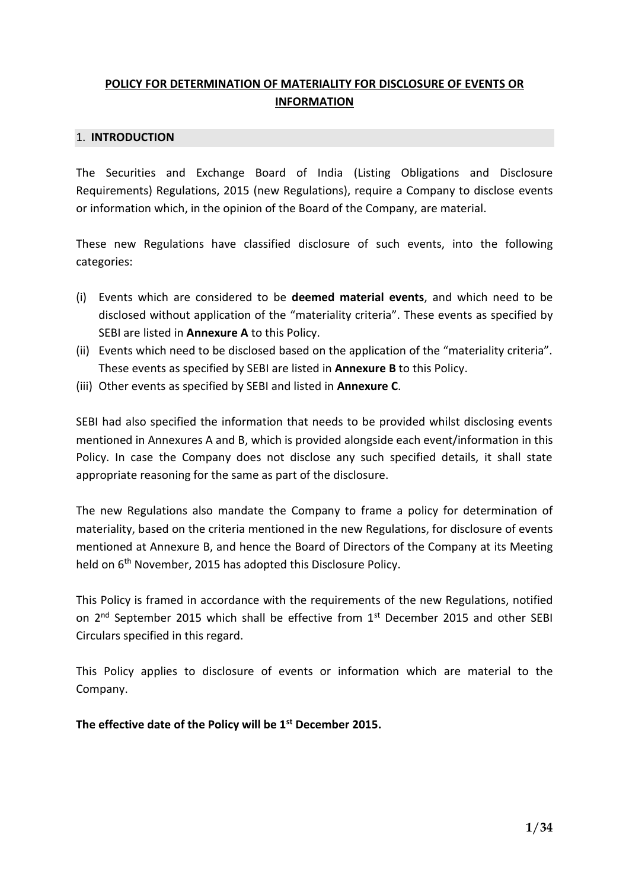# **POLICY FOR DETERMINATION OF MATERIALITY FOR DISCLOSURE OF EVENTS OR INFORMATION**

#### 1. **INTRODUCTION**

The Securities and Exchange Board of India (Listing Obligations and Disclosure Requirements) Regulations, 2015 (new Regulations), require a Company to disclose events or information which, in the opinion of the Board of the Company, are material.

These new Regulations have classified disclosure of such events, into the following categories:

- (i) Events which are considered to be **deemed material events**, and which need to be disclosed without application of the "materiality criteria". These events as specified by SEBI are listed in **Annexure A** to this Policy.
- (ii) Events which need to be disclosed based on the application of the "materiality criteria". These events as specified by SEBI are listed in **Annexure B** to this Policy.
- (iii) Other events as specified by SEBI and listed in **Annexure C**.

SEBI had also specified the information that needs to be provided whilst disclosing events mentioned in Annexures A and B, which is provided alongside each event/information in this Policy. In case the Company does not disclose any such specified details, it shall state appropriate reasoning for the same as part of the disclosure.

The new Regulations also mandate the Company to frame a policy for determination of materiality, based on the criteria mentioned in the new Regulations, for disclosure of events mentioned at Annexure B, and hence the Board of Directors of the Company at its Meeting held on 6<sup>th</sup> November, 2015 has adopted this Disclosure Policy.

This Policy is framed in accordance with the requirements of the new Regulations, notified on 2<sup>nd</sup> September 2015 which shall be effective from 1<sup>st</sup> December 2015 and other SEBI Circulars specified in this regard.

This Policy applies to disclosure of events or information which are material to the Company.

**The effective date of the Policy will be 1st December 2015.**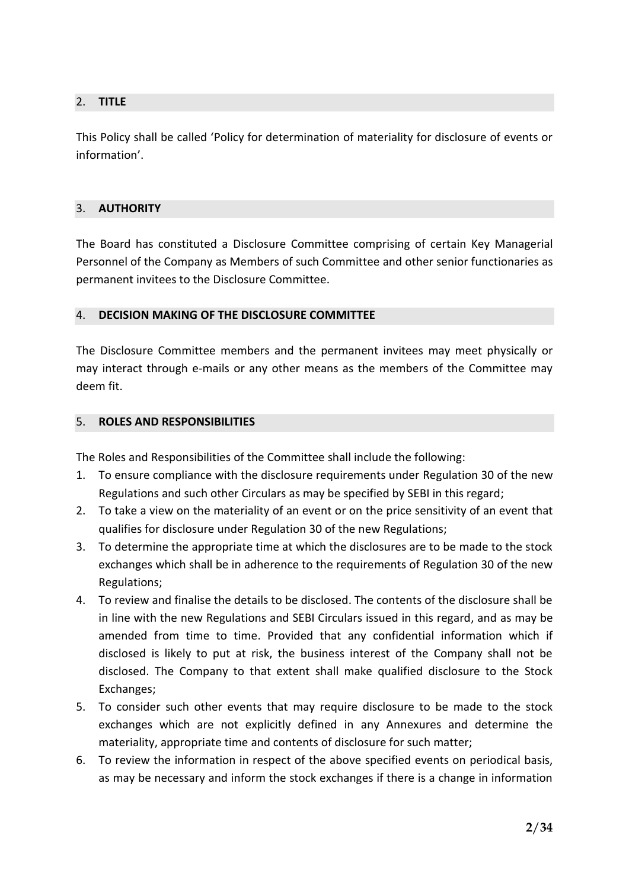# 2. **TITLE**

This Policy shall be called 'Policy for determination of materiality for disclosure of events or information'.

## 3. **AUTHORITY**

The Board has constituted a Disclosure Committee comprising of certain Key Managerial Personnel of the Company as Members of such Committee and other senior functionaries as permanent invitees to the Disclosure Committee.

## 4. **DECISION MAKING OF THE DISCLOSURE COMMITTEE**

The Disclosure Committee members and the permanent invitees may meet physically or may interact through e-mails or any other means as the members of the Committee may deem fit.

## 5. **ROLES AND RESPONSIBILITIES**

The Roles and Responsibilities of the Committee shall include the following:

- 1. To ensure compliance with the disclosure requirements under Regulation 30 of the new Regulations and such other Circulars as may be specified by SEBI in this regard;
- 2. To take a view on the materiality of an event or on the price sensitivity of an event that qualifies for disclosure under Regulation 30 of the new Regulations;
- 3. To determine the appropriate time at which the disclosures are to be made to the stock exchanges which shall be in adherence to the requirements of Regulation 30 of the new Regulations;
- 4. To review and finalise the details to be disclosed. The contents of the disclosure shall be in line with the new Regulations and SEBI Circulars issued in this regard, and as may be amended from time to time. Provided that any confidential information which if disclosed is likely to put at risk, the business interest of the Company shall not be disclosed. The Company to that extent shall make qualified disclosure to the Stock Exchanges;
- 5. To consider such other events that may require disclosure to be made to the stock exchanges which are not explicitly defined in any Annexures and determine the materiality, appropriate time and contents of disclosure for such matter;
- 6. To review the information in respect of the above specified events on periodical basis, as may be necessary and inform the stock exchanges if there is a change in information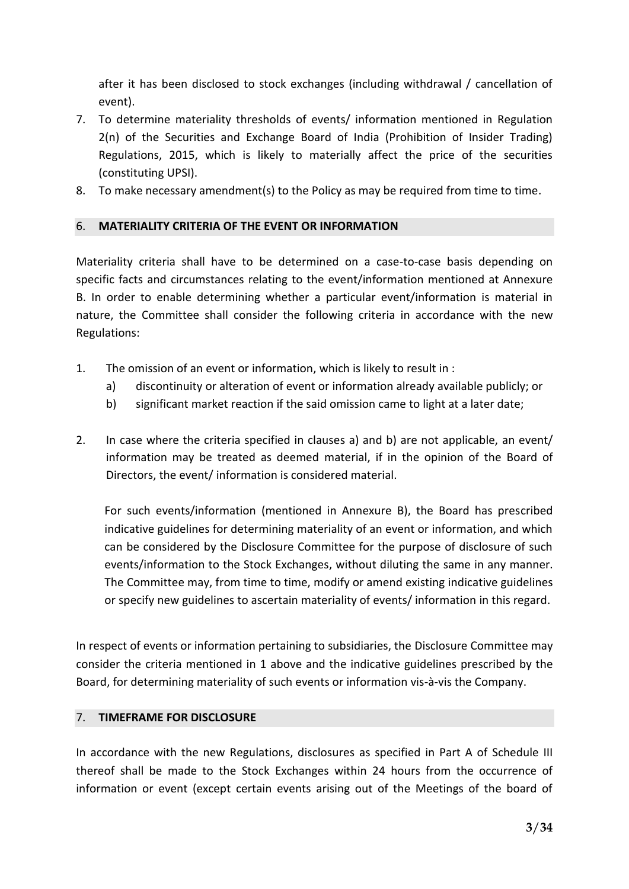after it has been disclosed to stock exchanges (including withdrawal / cancellation of event).

- 7. To determine materiality thresholds of events/ information mentioned in Regulation 2(n) of the Securities and Exchange Board of India (Prohibition of Insider Trading) Regulations, 2015, which is likely to materially affect the price of the securities (constituting UPSI).
- 8. To make necessary amendment(s) to the Policy as may be required from time to time.

# 6. **MATERIALITY CRITERIA OF THE EVENT OR INFORMATION**

Materiality criteria shall have to be determined on a case-to-case basis depending on specific facts and circumstances relating to the event/information mentioned at Annexure B. In order to enable determining whether a particular event/information is material in nature, the Committee shall consider the following criteria in accordance with the new Regulations:

- 1. The omission of an event or information, which is likely to result in :
	- a) discontinuity or alteration of event or information already available publicly; or
	- b) significant market reaction if the said omission came to light at a later date;
- 2. In case where the criteria specified in clauses a) and b) are not applicable, an event/ information may be treated as deemed material, if in the opinion of the Board of Directors, the event/ information is considered material.

For such events/information (mentioned in Annexure B), the Board has prescribed indicative guidelines for determining materiality of an event or information, and which can be considered by the Disclosure Committee for the purpose of disclosure of such events/information to the Stock Exchanges, without diluting the same in any manner. The Committee may, from time to time, modify or amend existing indicative guidelines or specify new guidelines to ascertain materiality of events/ information in this regard.

In respect of events or information pertaining to subsidiaries, the Disclosure Committee may consider the criteria mentioned in 1 above and the indicative guidelines prescribed by the Board, for determining materiality of such events or information vis-à-vis the Company.

#### 7. **TIMEFRAME FOR DISCLOSURE**

In accordance with the new Regulations, disclosures as specified in Part A of Schedule III thereof shall be made to the Stock Exchanges within 24 hours from the occurrence of information or event (except certain events arising out of the Meetings of the board of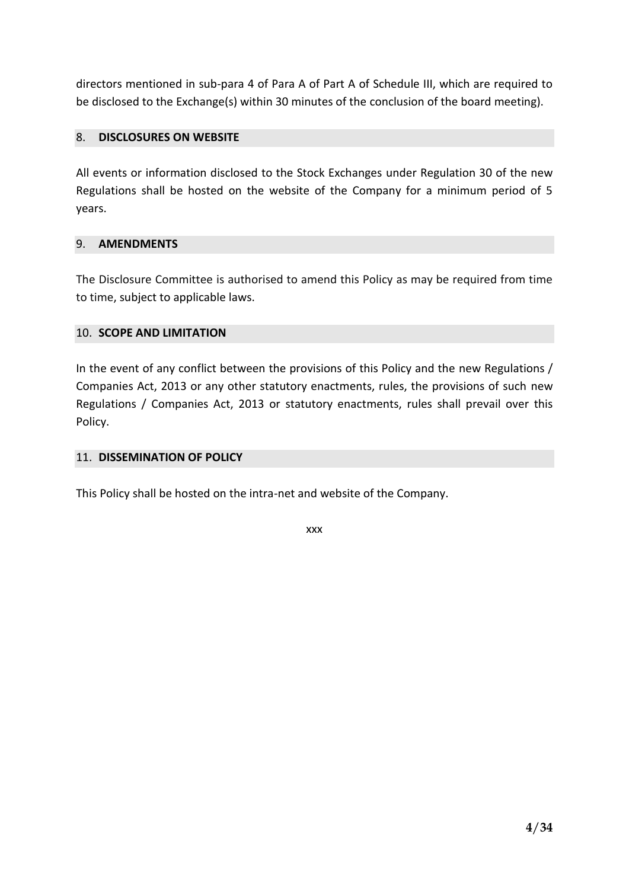directors mentioned in sub-para 4 of Para A of Part A of Schedule III, which are required to be disclosed to the Exchange(s) within 30 minutes of the conclusion of the board meeting).

# 8. **DISCLOSURES ON WEBSITE**

All events or information disclosed to the Stock Exchanges under Regulation 30 of the new Regulations shall be hosted on the website of the Company for a minimum period of 5 years.

## 9. **AMENDMENTS**

The Disclosure Committee is authorised to amend this Policy as may be required from time to time, subject to applicable laws.

## 10. **SCOPE AND LIMITATION**

In the event of any conflict between the provisions of this Policy and the new Regulations / Companies Act, 2013 or any other statutory enactments, rules, the provisions of such new Regulations / Companies Act, 2013 or statutory enactments, rules shall prevail over this Policy.

#### 11. **DISSEMINATION OF POLICY**

This Policy shall be hosted on the intra-net and website of the Company.

xxx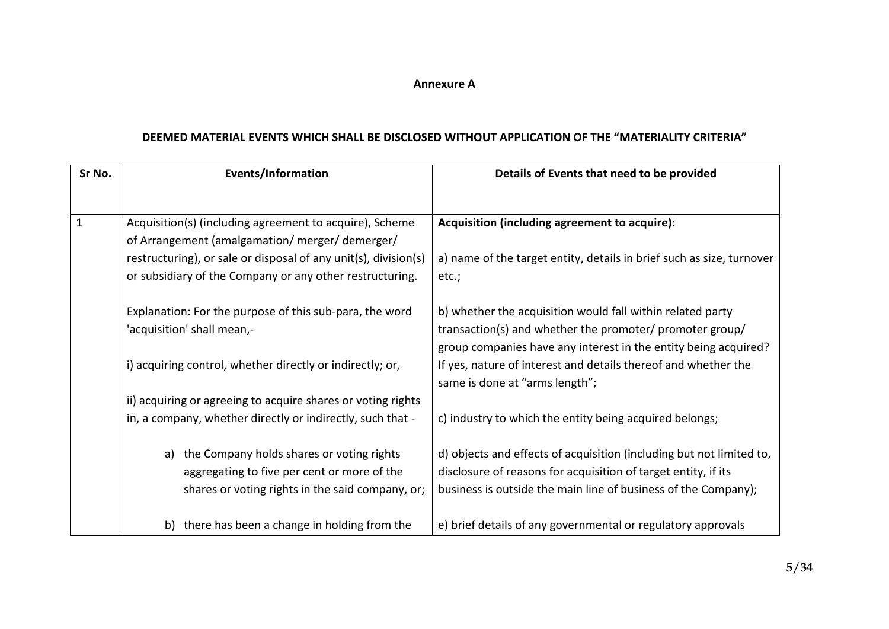#### **Annexure A**

## **DEEMED MATERIAL EVENTS WHICH SHALL BE DISCLOSED WITHOUT APPLICATION OF THE "MATERIALITY CRITERIA"**

| Sr No. | <b>Events/Information</b>                                       | Details of Events that need to be provided                                                       |
|--------|-----------------------------------------------------------------|--------------------------------------------------------------------------------------------------|
|        |                                                                 |                                                                                                  |
|        | Acquisition(s) (including agreement to acquire), Scheme         | Acquisition (including agreement to acquire):                                                    |
|        | of Arrangement (amalgamation/ merger/ demerger/                 |                                                                                                  |
|        | restructuring), or sale or disposal of any unit(s), division(s) | a) name of the target entity, details in brief such as size, turnover                            |
|        | or subsidiary of the Company or any other restructuring.        | etc.;                                                                                            |
|        | Explanation: For the purpose of this sub-para, the word         | b) whether the acquisition would fall within related party                                       |
|        | 'acquisition' shall mean,-                                      | transaction(s) and whether the promoter/ promoter group/                                         |
|        |                                                                 | group companies have any interest in the entity being acquired?                                  |
|        | i) acquiring control, whether directly or indirectly; or,       | If yes, nature of interest and details thereof and whether the<br>same is done at "arms length"; |
|        | ii) acquiring or agreeing to acquire shares or voting rights    |                                                                                                  |
|        | in, a company, whether directly or indirectly, such that -      | c) industry to which the entity being acquired belongs;                                          |
|        | a) the Company holds shares or voting rights                    | d) objects and effects of acquisition (including but not limited to,                             |
|        | aggregating to five per cent or more of the                     | disclosure of reasons for acquisition of target entity, if its                                   |
|        | shares or voting rights in the said company, or;                | business is outside the main line of business of the Company);                                   |
|        | b) there has been a change in holding from the                  | e) brief details of any governmental or regulatory approvals                                     |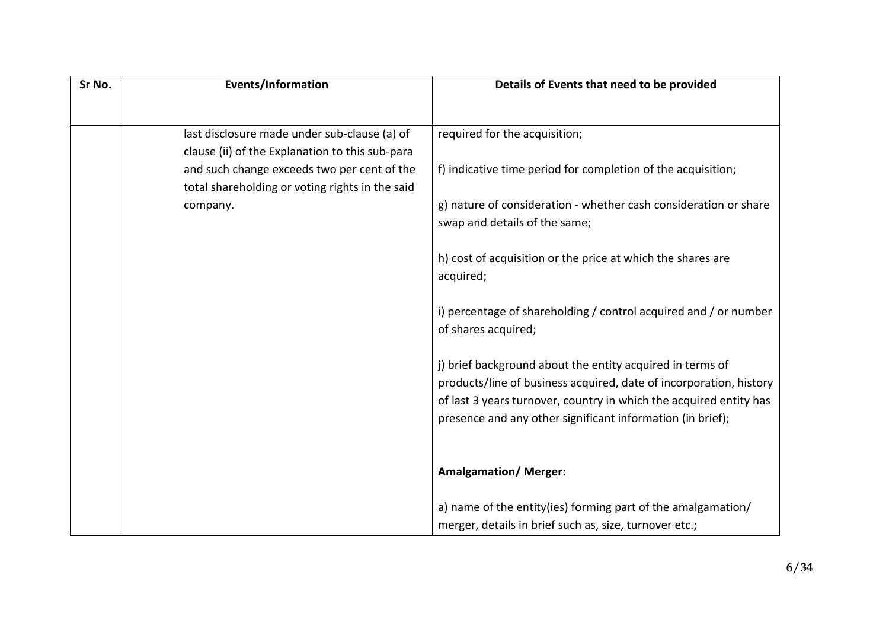| Sr No. | Events/Information                                                                             | Details of Events that need to be provided                         |
|--------|------------------------------------------------------------------------------------------------|--------------------------------------------------------------------|
|        |                                                                                                |                                                                    |
|        | last disclosure made under sub-clause (a) of                                                   | required for the acquisition;                                      |
|        | clause (ii) of the Explanation to this sub-para                                                |                                                                    |
|        | and such change exceeds two per cent of the<br>total shareholding or voting rights in the said | f) indicative time period for completion of the acquisition;       |
|        | company.                                                                                       | g) nature of consideration - whether cash consideration or share   |
|        |                                                                                                | swap and details of the same;                                      |
|        |                                                                                                | h) cost of acquisition or the price at which the shares are        |
|        |                                                                                                | acquired;                                                          |
|        |                                                                                                | i) percentage of shareholding / control acquired and / or number   |
|        |                                                                                                | of shares acquired;                                                |
|        |                                                                                                | j) brief background about the entity acquired in terms of          |
|        |                                                                                                | products/line of business acquired, date of incorporation, history |
|        |                                                                                                | of last 3 years turnover, country in which the acquired entity has |
|        |                                                                                                | presence and any other significant information (in brief);         |
|        |                                                                                                |                                                                    |
|        |                                                                                                | <b>Amalgamation/ Merger:</b>                                       |
|        |                                                                                                | a) name of the entity(ies) forming part of the amalgamation/       |
|        |                                                                                                | merger, details in brief such as, size, turnover etc.;             |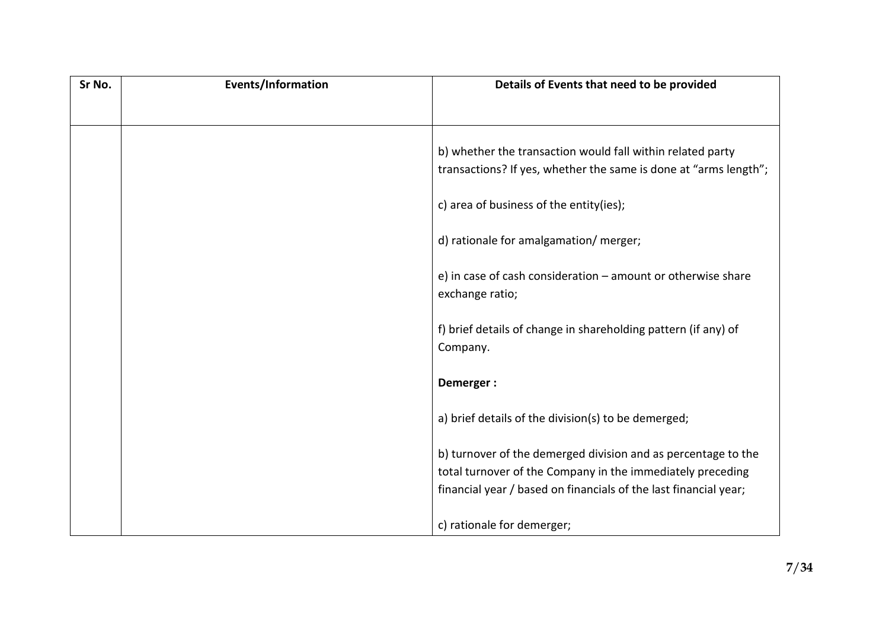| Sr No. | Events/Information | Details of Events that need to be provided                       |
|--------|--------------------|------------------------------------------------------------------|
|        |                    |                                                                  |
|        |                    |                                                                  |
|        |                    | b) whether the transaction would fall within related party       |
|        |                    | transactions? If yes, whether the same is done at "arms length"; |
|        |                    |                                                                  |
|        |                    | c) area of business of the entity(ies);                          |
|        |                    | d) rationale for amalgamation/ merger;                           |
|        |                    |                                                                  |
|        |                    | e) in case of cash consideration - amount or otherwise share     |
|        |                    | exchange ratio;                                                  |
|        |                    | f) brief details of change in shareholding pattern (if any) of   |
|        |                    | Company.                                                         |
|        |                    |                                                                  |
|        |                    | Demerger:                                                        |
|        |                    | a) brief details of the division(s) to be demerged;              |
|        |                    |                                                                  |
|        |                    | b) turnover of the demerged division and as percentage to the    |
|        |                    | total turnover of the Company in the immediately preceding       |
|        |                    | financial year / based on financials of the last financial year; |
|        |                    |                                                                  |
|        |                    | c) rationale for demerger;                                       |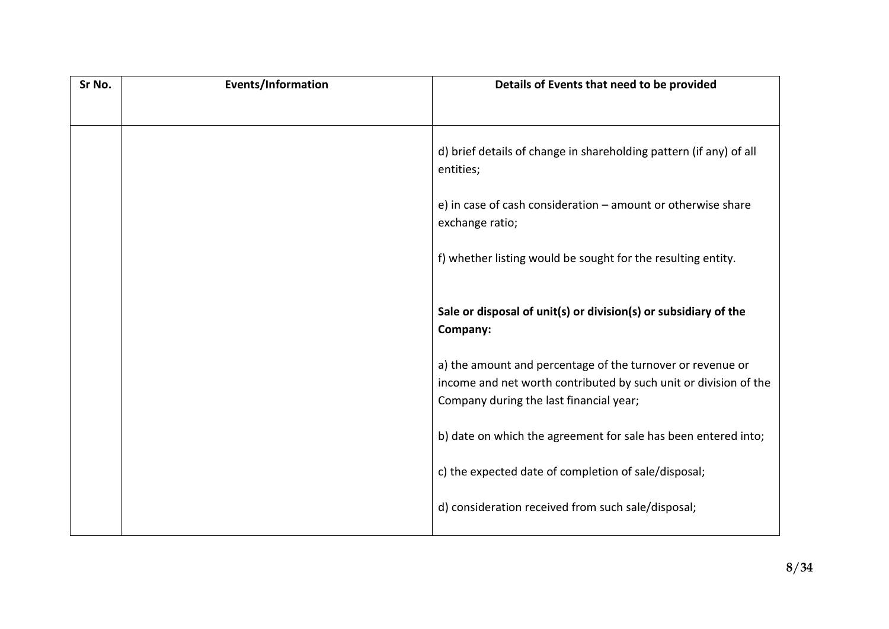| Sr No. | Events/Information | Details of Events that need to be provided                                                                                                                                |
|--------|--------------------|---------------------------------------------------------------------------------------------------------------------------------------------------------------------------|
|        |                    |                                                                                                                                                                           |
|        |                    | d) brief details of change in shareholding pattern (if any) of all<br>entities;                                                                                           |
|        |                    | e) in case of cash consideration $-$ amount or otherwise share<br>exchange ratio;                                                                                         |
|        |                    | f) whether listing would be sought for the resulting entity.                                                                                                              |
|        |                    | Sale or disposal of unit(s) or division(s) or subsidiary of the<br>Company:                                                                                               |
|        |                    | a) the amount and percentage of the turnover or revenue or<br>income and net worth contributed by such unit or division of the<br>Company during the last financial year; |
|        |                    | b) date on which the agreement for sale has been entered into;                                                                                                            |
|        |                    | c) the expected date of completion of sale/disposal;                                                                                                                      |
|        |                    | d) consideration received from such sale/disposal;                                                                                                                        |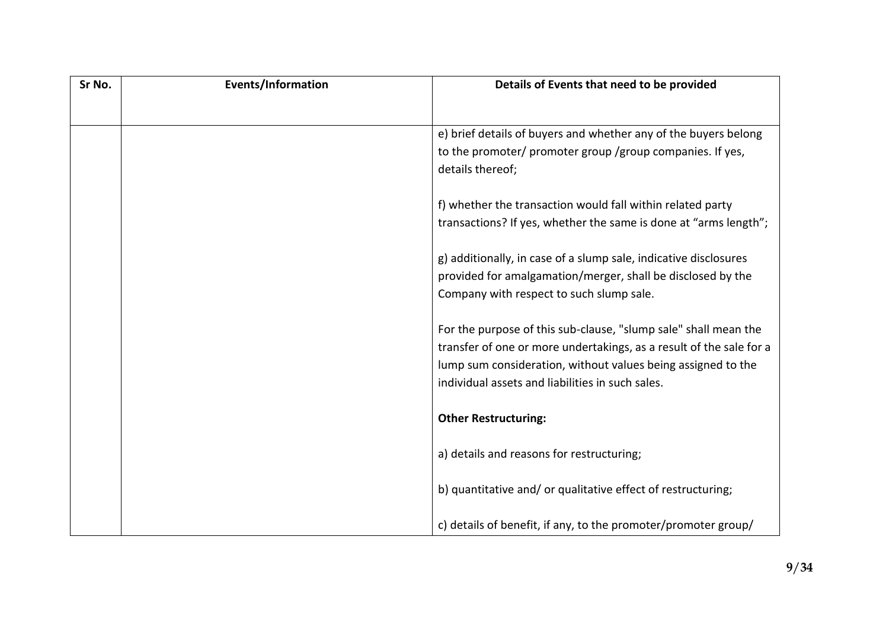| Sr No. | Events/Information | Details of Events that need to be provided                          |
|--------|--------------------|---------------------------------------------------------------------|
|        |                    |                                                                     |
|        |                    | e) brief details of buyers and whether any of the buyers belong     |
|        |                    | to the promoter/ promoter group /group companies. If yes,           |
|        |                    | details thereof;                                                    |
|        |                    |                                                                     |
|        |                    | f) whether the transaction would fall within related party          |
|        |                    | transactions? If yes, whether the same is done at "arms length";    |
|        |                    | g) additionally, in case of a slump sale, indicative disclosures    |
|        |                    | provided for amalgamation/merger, shall be disclosed by the         |
|        |                    | Company with respect to such slump sale.                            |
|        |                    |                                                                     |
|        |                    | For the purpose of this sub-clause, "slump sale" shall mean the     |
|        |                    | transfer of one or more undertakings, as a result of the sale for a |
|        |                    | lump sum consideration, without values being assigned to the        |
|        |                    | individual assets and liabilities in such sales.                    |
|        |                    |                                                                     |
|        |                    | <b>Other Restructuring:</b>                                         |
|        |                    | a) details and reasons for restructuring;                           |
|        |                    |                                                                     |
|        |                    | b) quantitative and/or qualitative effect of restructuring;         |
|        |                    |                                                                     |
|        |                    | c) details of benefit, if any, to the promoter/promoter group/      |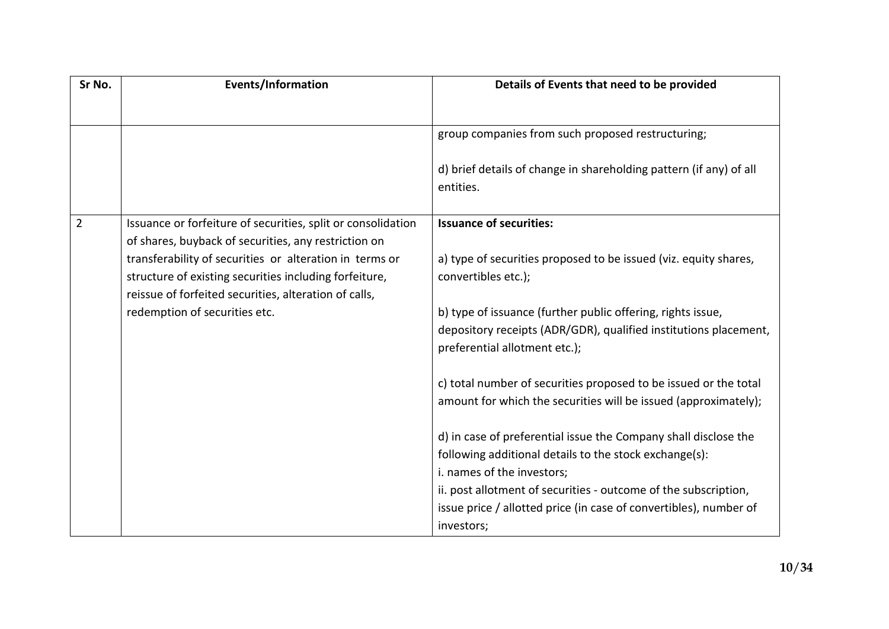| Sr No.         | Events/Information                                                                                                                                                                                                                 | Details of Events that need to be provided                                                                                                                       |
|----------------|------------------------------------------------------------------------------------------------------------------------------------------------------------------------------------------------------------------------------------|------------------------------------------------------------------------------------------------------------------------------------------------------------------|
|                |                                                                                                                                                                                                                                    |                                                                                                                                                                  |
|                |                                                                                                                                                                                                                                    | group companies from such proposed restructuring;                                                                                                                |
|                |                                                                                                                                                                                                                                    | d) brief details of change in shareholding pattern (if any) of all<br>entities.                                                                                  |
| $\overline{2}$ | Issuance or forfeiture of securities, split or consolidation                                                                                                                                                                       | <b>Issuance of securities:</b>                                                                                                                                   |
|                | of shares, buyback of securities, any restriction on<br>transferability of securities or alteration in terms or<br>structure of existing securities including forfeiture,<br>reissue of forfeited securities, alteration of calls, | a) type of securities proposed to be issued (viz. equity shares,<br>convertibles etc.);                                                                          |
|                | redemption of securities etc.                                                                                                                                                                                                      | b) type of issuance (further public offering, rights issue,<br>depository receipts (ADR/GDR), qualified institutions placement,<br>preferential allotment etc.); |
|                |                                                                                                                                                                                                                                    | c) total number of securities proposed to be issued or the total<br>amount for which the securities will be issued (approximately);                              |
|                |                                                                                                                                                                                                                                    | d) in case of preferential issue the Company shall disclose the                                                                                                  |
|                |                                                                                                                                                                                                                                    | following additional details to the stock exchange(s):                                                                                                           |
|                |                                                                                                                                                                                                                                    | i. names of the investors;                                                                                                                                       |
|                |                                                                                                                                                                                                                                    | ii. post allotment of securities - outcome of the subscription,<br>issue price / allotted price (in case of convertibles), number of<br>investors;               |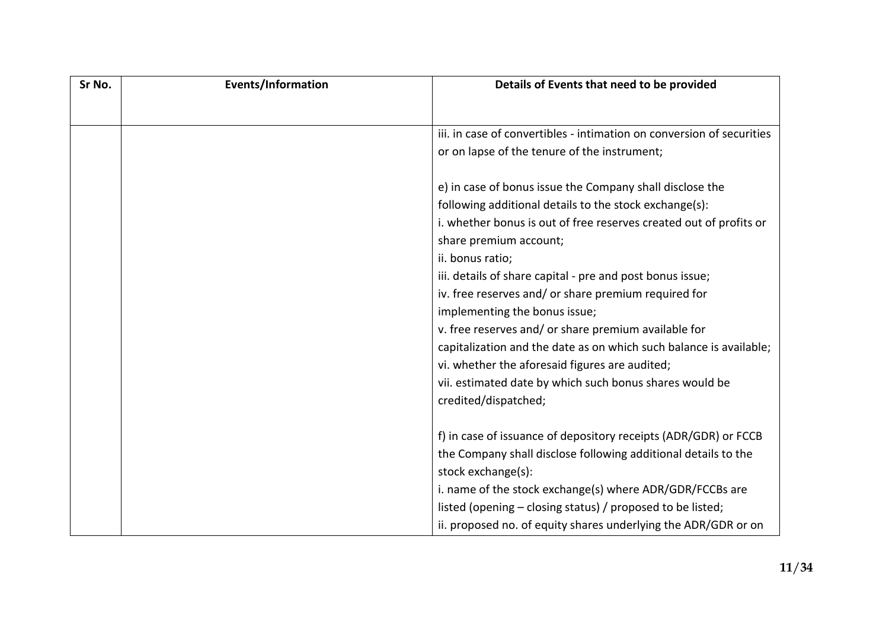| Sr No. | <b>Events/Information</b> | Details of Events that need to be provided                            |
|--------|---------------------------|-----------------------------------------------------------------------|
|        |                           |                                                                       |
|        |                           | iii, in case of convertibles - intimation on conversion of securities |
|        |                           | or on lapse of the tenure of the instrument;                          |
|        |                           |                                                                       |
|        |                           | e) in case of bonus issue the Company shall disclose the              |
|        |                           | following additional details to the stock exchange(s):                |
|        |                           | i. whether bonus is out of free reserves created out of profits or    |
|        |                           | share premium account;                                                |
|        |                           | ii. bonus ratio;                                                      |
|        |                           | iii. details of share capital - pre and post bonus issue;             |
|        |                           | iv. free reserves and/ or share premium required for                  |
|        |                           | implementing the bonus issue;                                         |
|        |                           | v. free reserves and/ or share premium available for                  |
|        |                           | capitalization and the date as on which such balance is available;    |
|        |                           | vi. whether the aforesaid figures are audited;                        |
|        |                           | vii. estimated date by which such bonus shares would be               |
|        |                           | credited/dispatched;                                                  |
|        |                           |                                                                       |
|        |                           | f) in case of issuance of depository receipts (ADR/GDR) or FCCB       |
|        |                           | the Company shall disclose following additional details to the        |
|        |                           | stock exchange(s):                                                    |
|        |                           | i. name of the stock exchange(s) where ADR/GDR/FCCBs are              |
|        |                           | listed (opening – closing status) / proposed to be listed;            |
|        |                           | ii. proposed no. of equity shares underlying the ADR/GDR or on        |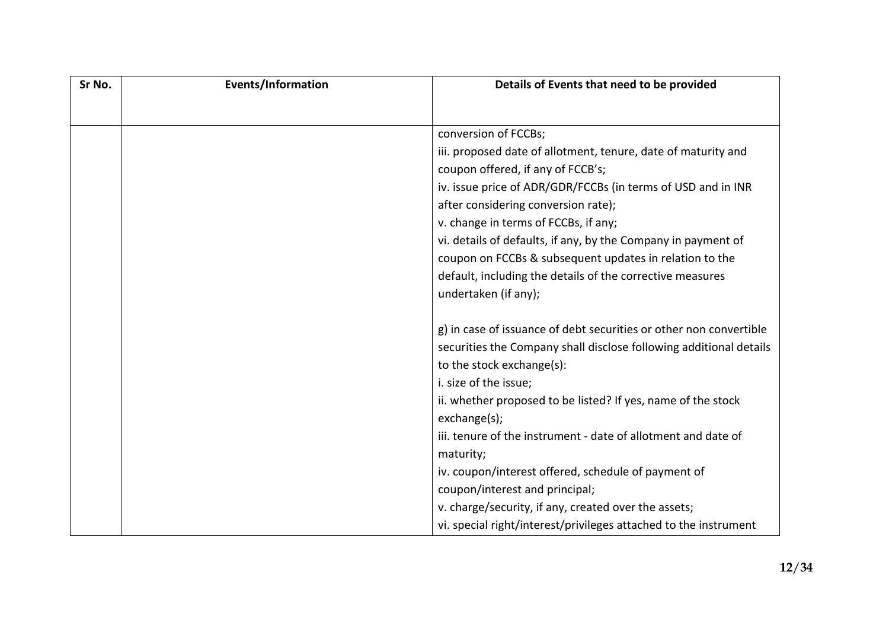| Sr No. | <b>Events/Information</b> | Details of Events that need to be provided                         |
|--------|---------------------------|--------------------------------------------------------------------|
|        |                           |                                                                    |
|        |                           | conversion of FCCBs;                                               |
|        |                           | iii. proposed date of allotment, tenure, date of maturity and      |
|        |                           | coupon offered, if any of FCCB's;                                  |
|        |                           | iv. issue price of ADR/GDR/FCCBs (in terms of USD and in INR       |
|        |                           | after considering conversion rate);                                |
|        |                           | v. change in terms of FCCBs, if any;                               |
|        |                           | vi. details of defaults, if any, by the Company in payment of      |
|        |                           | coupon on FCCBs & subsequent updates in relation to the            |
|        |                           | default, including the details of the corrective measures          |
|        |                           | undertaken (if any);                                               |
|        |                           |                                                                    |
|        |                           | g) in case of issuance of debt securities or other non convertible |
|        |                           | securities the Company shall disclose following additional details |
|        |                           | to the stock exchange(s):                                          |
|        |                           | i. size of the issue;                                              |
|        |                           | ii. whether proposed to be listed? If yes, name of the stock       |
|        |                           | exchange(s);                                                       |
|        |                           | iii. tenure of the instrument - date of allotment and date of      |
|        |                           | maturity;                                                          |
|        |                           | iv. coupon/interest offered, schedule of payment of                |
|        |                           | coupon/interest and principal;                                     |
|        |                           | v. charge/security, if any, created over the assets;               |
|        |                           | vi. special right/interest/privileges attached to the instrument   |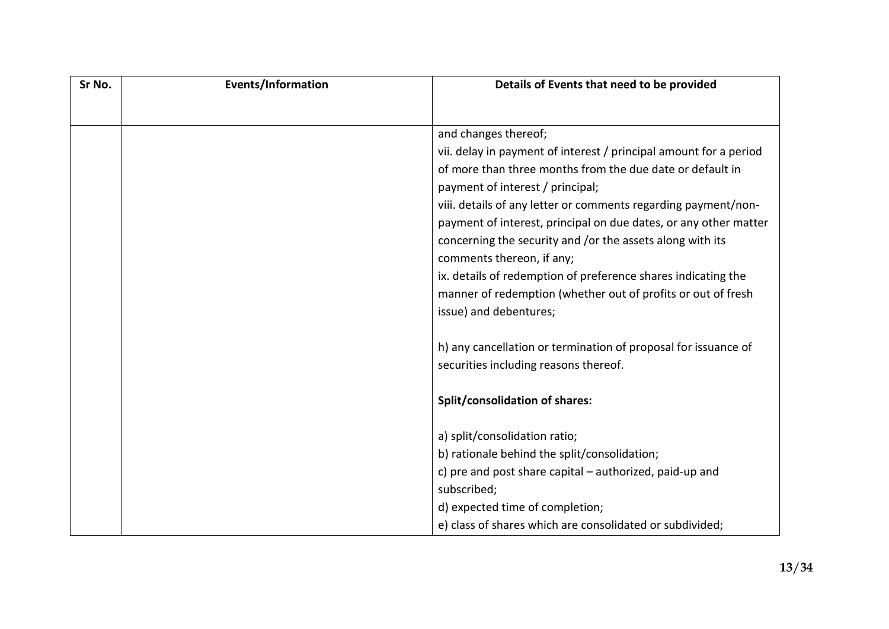| Sr No. | Events/Information | Details of Events that need to be provided                        |
|--------|--------------------|-------------------------------------------------------------------|
|        |                    |                                                                   |
|        |                    | and changes thereof;                                              |
|        |                    | vii. delay in payment of interest / principal amount for a period |
|        |                    | of more than three months from the due date or default in         |
|        |                    | payment of interest / principal;                                  |
|        |                    | viii. details of any letter or comments regarding payment/non-    |
|        |                    | payment of interest, principal on due dates, or any other matter  |
|        |                    | concerning the security and /or the assets along with its         |
|        |                    | comments thereon, if any;                                         |
|        |                    | ix. details of redemption of preference shares indicating the     |
|        |                    | manner of redemption (whether out of profits or out of fresh      |
|        |                    | issue) and debentures;                                            |
|        |                    | h) any cancellation or termination of proposal for issuance of    |
|        |                    | securities including reasons thereof.                             |
|        |                    |                                                                   |
|        |                    | <b>Split/consolidation of shares:</b>                             |
|        |                    |                                                                   |
|        |                    | a) split/consolidation ratio;                                     |
|        |                    | b) rationale behind the split/consolidation;                      |
|        |                    | c) pre and post share capital - authorized, paid-up and           |
|        |                    | subscribed;                                                       |
|        |                    | d) expected time of completion;                                   |
|        |                    | e) class of shares which are consolidated or subdivided;          |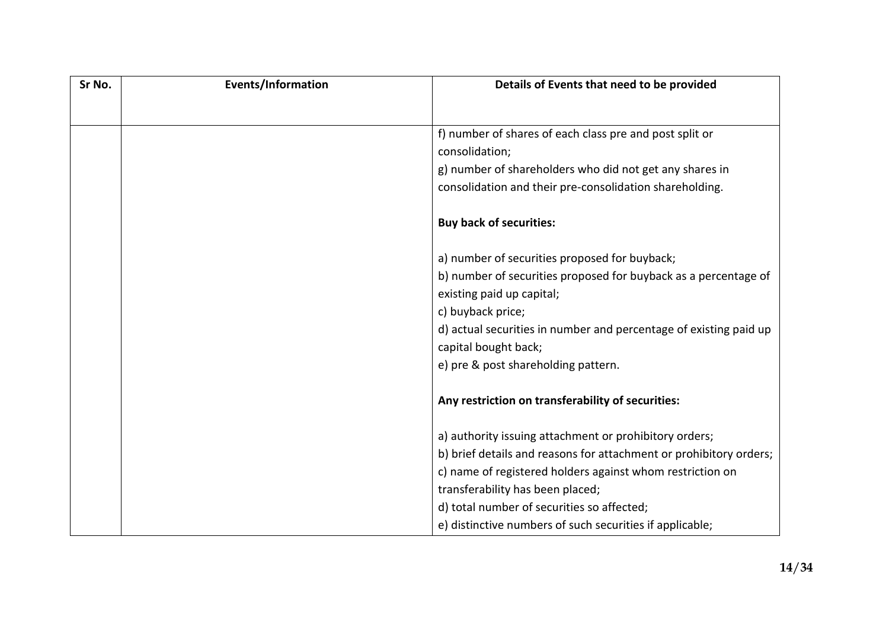| Sr No. | <b>Events/Information</b> | Details of Events that need to be provided                         |
|--------|---------------------------|--------------------------------------------------------------------|
|        |                           |                                                                    |
|        |                           | f) number of shares of each class pre and post split or            |
|        |                           | consolidation;                                                     |
|        |                           | g) number of shareholders who did not get any shares in            |
|        |                           | consolidation and their pre-consolidation shareholding.            |
|        |                           | <b>Buy back of securities:</b>                                     |
|        |                           | a) number of securities proposed for buyback;                      |
|        |                           | b) number of securities proposed for buyback as a percentage of    |
|        |                           | existing paid up capital;                                          |
|        |                           | c) buyback price;                                                  |
|        |                           | d) actual securities in number and percentage of existing paid up  |
|        |                           | capital bought back;                                               |
|        |                           | e) pre & post shareholding pattern.                                |
|        |                           | Any restriction on transferability of securities:                  |
|        |                           | a) authority issuing attachment or prohibitory orders;             |
|        |                           | b) brief details and reasons for attachment or prohibitory orders; |
|        |                           | c) name of registered holders against whom restriction on          |
|        |                           | transferability has been placed;                                   |
|        |                           | d) total number of securities so affected;                         |
|        |                           | e) distinctive numbers of such securities if applicable;           |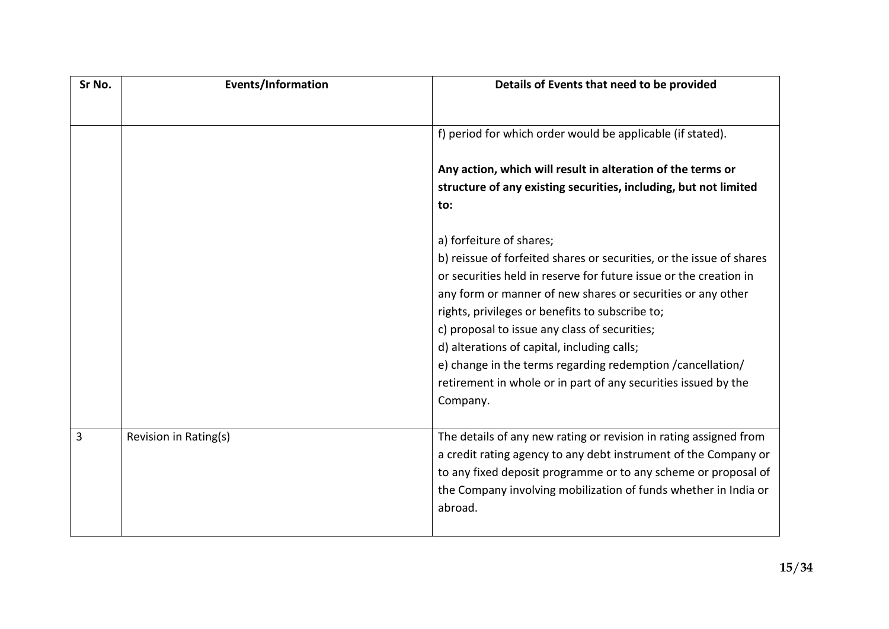| Sr No. | <b>Events/Information</b> | Details of Events that need to be provided                           |
|--------|---------------------------|----------------------------------------------------------------------|
|        |                           |                                                                      |
|        |                           | f) period for which order would be applicable (if stated).           |
|        |                           | Any action, which will result in alteration of the terms or          |
|        |                           | structure of any existing securities, including, but not limited     |
|        |                           | to:                                                                  |
|        |                           | a) forfeiture of shares;                                             |
|        |                           | b) reissue of forfeited shares or securities, or the issue of shares |
|        |                           | or securities held in reserve for future issue or the creation in    |
|        |                           | any form or manner of new shares or securities or any other          |
|        |                           | rights, privileges or benefits to subscribe to;                      |
|        |                           | c) proposal to issue any class of securities;                        |
|        |                           | d) alterations of capital, including calls;                          |
|        |                           | e) change in the terms regarding redemption / cancellation/          |
|        |                           | retirement in whole or in part of any securities issued by the       |
|        |                           | Company.                                                             |
| 3      | Revision in Rating(s)     | The details of any new rating or revision in rating assigned from    |
|        |                           | a credit rating agency to any debt instrument of the Company or      |
|        |                           | to any fixed deposit programme or to any scheme or proposal of       |
|        |                           | the Company involving mobilization of funds whether in India or      |
|        |                           | abroad.                                                              |
|        |                           |                                                                      |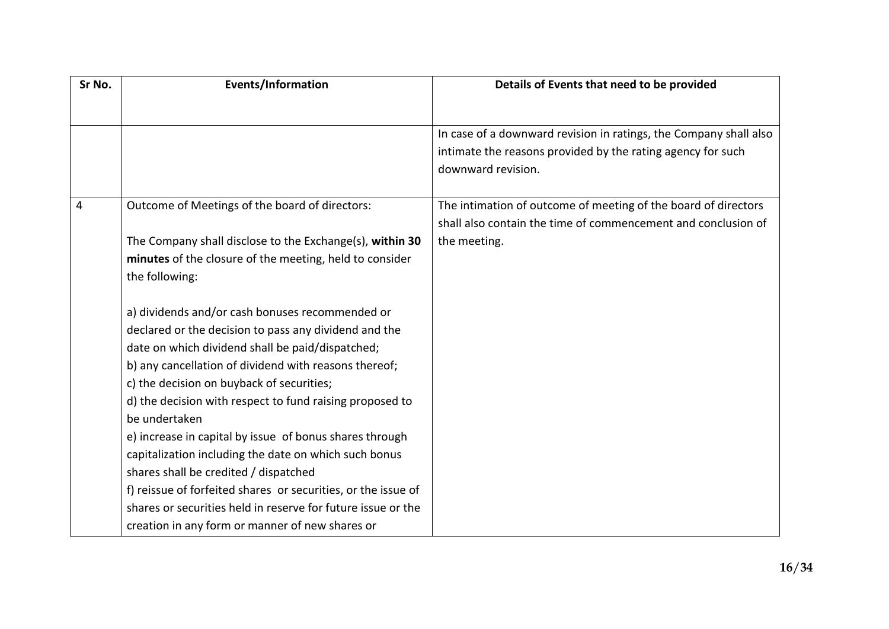| Sr No. | <b>Events/Information</b>                                     | Details of Events that need to be provided                        |
|--------|---------------------------------------------------------------|-------------------------------------------------------------------|
|        |                                                               |                                                                   |
|        |                                                               | In case of a downward revision in ratings, the Company shall also |
|        |                                                               | intimate the reasons provided by the rating agency for such       |
|        |                                                               | downward revision.                                                |
|        |                                                               |                                                                   |
| 4      | Outcome of Meetings of the board of directors:                | The intimation of outcome of meeting of the board of directors    |
|        |                                                               | shall also contain the time of commencement and conclusion of     |
|        | The Company shall disclose to the Exchange(s), within 30      | the meeting.                                                      |
|        | minutes of the closure of the meeting, held to consider       |                                                                   |
|        | the following:                                                |                                                                   |
|        | a) dividends and/or cash bonuses recommended or               |                                                                   |
|        | declared or the decision to pass any dividend and the         |                                                                   |
|        | date on which dividend shall be paid/dispatched;              |                                                                   |
|        | b) any cancellation of dividend with reasons thereof;         |                                                                   |
|        | c) the decision on buyback of securities;                     |                                                                   |
|        | d) the decision with respect to fund raising proposed to      |                                                                   |
|        | be undertaken                                                 |                                                                   |
|        | e) increase in capital by issue of bonus shares through       |                                                                   |
|        | capitalization including the date on which such bonus         |                                                                   |
|        | shares shall be credited / dispatched                         |                                                                   |
|        | f) reissue of forfeited shares or securities, or the issue of |                                                                   |
|        | shares or securities held in reserve for future issue or the  |                                                                   |
|        | creation in any form or manner of new shares or               |                                                                   |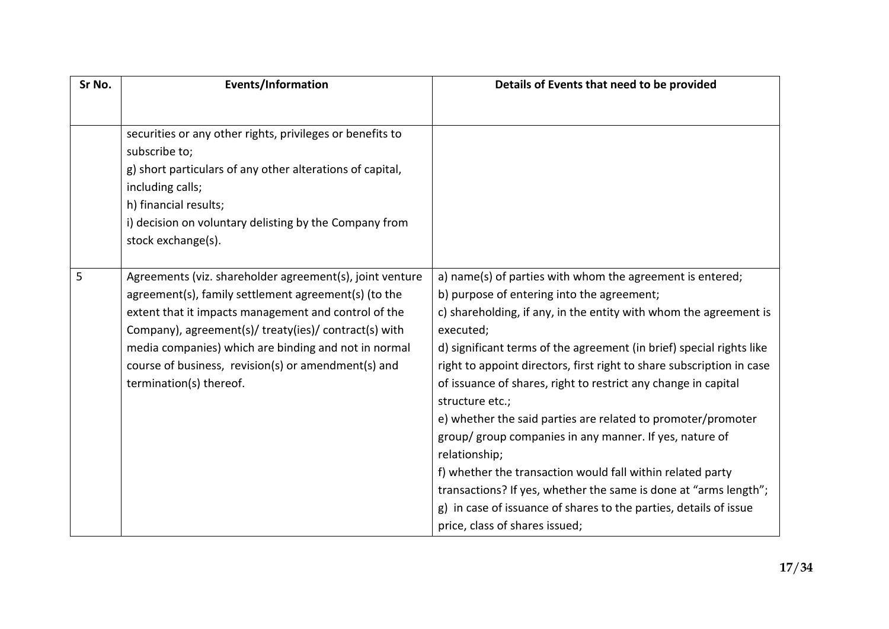| Sr No. | <b>Events/Information</b>                                 | Details of Events that need to be provided                                                                              |
|--------|-----------------------------------------------------------|-------------------------------------------------------------------------------------------------------------------------|
|        |                                                           |                                                                                                                         |
|        | securities or any other rights, privileges or benefits to |                                                                                                                         |
|        | subscribe to;                                             |                                                                                                                         |
|        | g) short particulars of any other alterations of capital, |                                                                                                                         |
|        | including calls;                                          |                                                                                                                         |
|        | h) financial results;                                     |                                                                                                                         |
|        | i) decision on voluntary delisting by the Company from    |                                                                                                                         |
|        | stock exchange(s).                                        |                                                                                                                         |
|        |                                                           |                                                                                                                         |
| 5      | Agreements (viz. shareholder agreement(s), joint venture  | a) name(s) of parties with whom the agreement is entered;                                                               |
|        | agreement(s), family settlement agreement(s) (to the      | b) purpose of entering into the agreement;                                                                              |
|        | extent that it impacts management and control of the      | c) shareholding, if any, in the entity with whom the agreement is                                                       |
|        | Company), agreement(s)/ treaty(ies)/ contract(s) with     | executed;                                                                                                               |
|        | media companies) which are binding and not in normal      | d) significant terms of the agreement (in brief) special rights like                                                    |
|        | course of business, revision(s) or amendment(s) and       | right to appoint directors, first right to share subscription in case                                                   |
|        | termination(s) thereof.                                   | of issuance of shares, right to restrict any change in capital                                                          |
|        |                                                           | structure etc.;                                                                                                         |
|        |                                                           | e) whether the said parties are related to promoter/promoter<br>group/ group companies in any manner. If yes, nature of |
|        |                                                           | relationship;                                                                                                           |
|        |                                                           |                                                                                                                         |
|        |                                                           | f) whether the transaction would fall within related party                                                              |
|        |                                                           | transactions? If yes, whether the same is done at "arms length";                                                        |
|        |                                                           | g) in case of issuance of shares to the parties, details of issue                                                       |
|        |                                                           | price, class of shares issued;                                                                                          |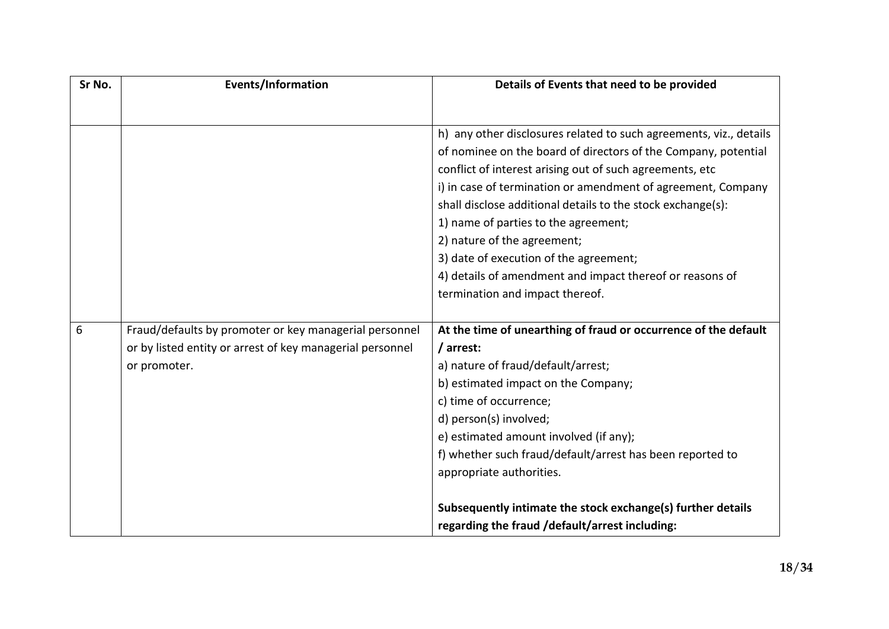| Sr No. | <b>Events/Information</b>                                 | Details of Events that need to be provided                         |
|--------|-----------------------------------------------------------|--------------------------------------------------------------------|
|        |                                                           |                                                                    |
|        |                                                           | h) any other disclosures related to such agreements, viz., details |
|        |                                                           | of nominee on the board of directors of the Company, potential     |
|        |                                                           | conflict of interest arising out of such agreements, etc           |
|        |                                                           | i) in case of termination or amendment of agreement, Company       |
|        |                                                           | shall disclose additional details to the stock exchange(s):        |
|        |                                                           | 1) name of parties to the agreement;                               |
|        |                                                           | 2) nature of the agreement;                                        |
|        |                                                           | 3) date of execution of the agreement;                             |
|        |                                                           | 4) details of amendment and impact thereof or reasons of           |
|        |                                                           | termination and impact thereof.                                    |
|        |                                                           |                                                                    |
| 6      | Fraud/defaults by promoter or key managerial personnel    | At the time of unearthing of fraud or occurrence of the default    |
|        | or by listed entity or arrest of key managerial personnel | / arrest:                                                          |
|        | or promoter.                                              | a) nature of fraud/default/arrest;                                 |
|        |                                                           | b) estimated impact on the Company;                                |
|        |                                                           | c) time of occurrence;                                             |
|        |                                                           | d) person(s) involved;                                             |
|        |                                                           | e) estimated amount involved (if any);                             |
|        |                                                           | f) whether such fraud/default/arrest has been reported to          |
|        |                                                           | appropriate authorities.                                           |
|        |                                                           | Subsequently intimate the stock exchange(s) further details        |
|        |                                                           | regarding the fraud /default/arrest including:                     |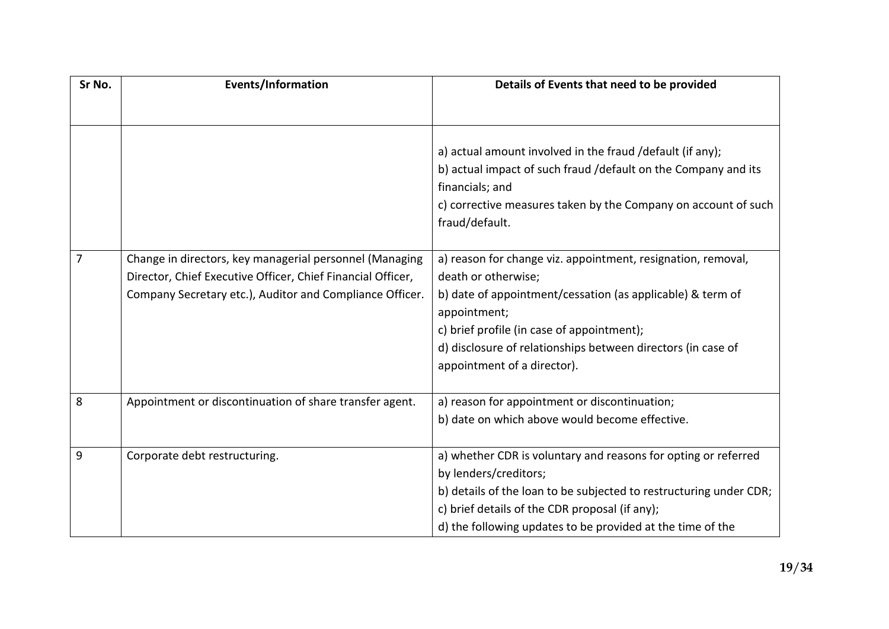| Sr No.         | <b>Events/Information</b>                                   | Details of Events that need to be provided                         |
|----------------|-------------------------------------------------------------|--------------------------------------------------------------------|
|                |                                                             |                                                                    |
|                |                                                             |                                                                    |
|                |                                                             | a) actual amount involved in the fraud /default (if any);          |
|                |                                                             | b) actual impact of such fraud /default on the Company and its     |
|                |                                                             | financials; and                                                    |
|                |                                                             | c) corrective measures taken by the Company on account of such     |
|                |                                                             | fraud/default.                                                     |
| $\overline{7}$ |                                                             |                                                                    |
|                | Change in directors, key managerial personnel (Managing     | a) reason for change viz. appointment, resignation, removal,       |
|                | Director, Chief Executive Officer, Chief Financial Officer, | death or otherwise;                                                |
|                | Company Secretary etc.), Auditor and Compliance Officer.    | b) date of appointment/cessation (as applicable) & term of         |
|                |                                                             | appointment;                                                       |
|                |                                                             | c) brief profile (in case of appointment);                         |
|                |                                                             | d) disclosure of relationships between directors (in case of       |
|                |                                                             | appointment of a director).                                        |
| 8              | Appointment or discontinuation of share transfer agent.     | a) reason for appointment or discontinuation;                      |
|                |                                                             | b) date on which above would become effective.                     |
|                |                                                             |                                                                    |
| 9              | Corporate debt restructuring.                               | a) whether CDR is voluntary and reasons for opting or referred     |
|                |                                                             | by lenders/creditors;                                              |
|                |                                                             | b) details of the loan to be subjected to restructuring under CDR; |
|                |                                                             | c) brief details of the CDR proposal (if any);                     |
|                |                                                             | d) the following updates to be provided at the time of the         |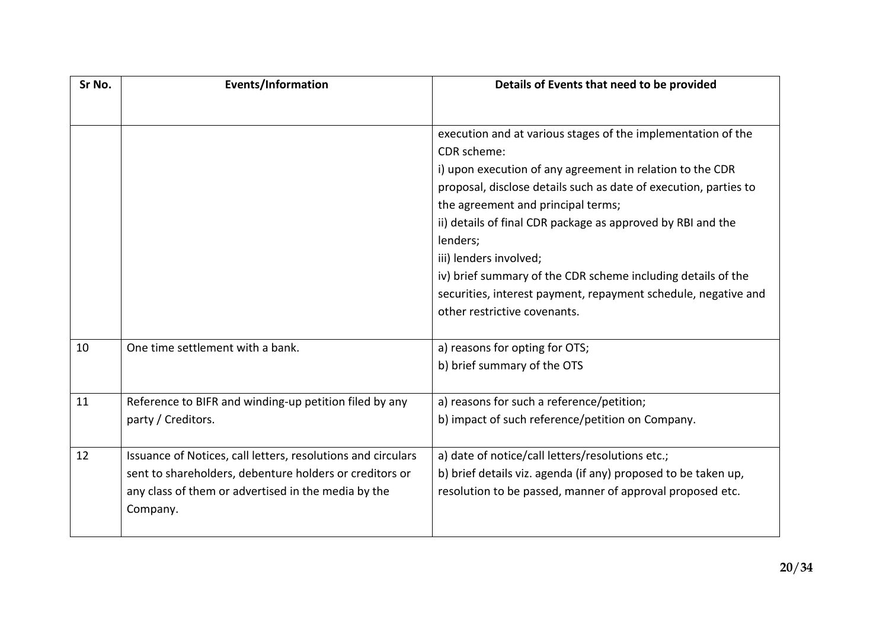| Sr No. | <b>Events/Information</b>                                    | Details of Events that need to be provided                       |
|--------|--------------------------------------------------------------|------------------------------------------------------------------|
|        |                                                              |                                                                  |
|        |                                                              | execution and at various stages of the implementation of the     |
|        |                                                              | CDR scheme:                                                      |
|        |                                                              | i) upon execution of any agreement in relation to the CDR        |
|        |                                                              | proposal, disclose details such as date of execution, parties to |
|        |                                                              | the agreement and principal terms;                               |
|        |                                                              | ii) details of final CDR package as approved by RBI and the      |
|        |                                                              | lenders;                                                         |
|        |                                                              | iii) lenders involved;                                           |
|        |                                                              | iv) brief summary of the CDR scheme including details of the     |
|        |                                                              | securities, interest payment, repayment schedule, negative and   |
|        |                                                              | other restrictive covenants.                                     |
| 10     | One time settlement with a bank.                             | a) reasons for opting for OTS;                                   |
|        |                                                              | b) brief summary of the OTS                                      |
| 11     | Reference to BIFR and winding-up petition filed by any       | a) reasons for such a reference/petition;                        |
|        | party / Creditors.                                           | b) impact of such reference/petition on Company.                 |
| 12     | Issuance of Notices, call letters, resolutions and circulars | a) date of notice/call letters/resolutions etc.;                 |
|        | sent to shareholders, debenture holders or creditors or      | b) brief details viz. agenda (if any) proposed to be taken up,   |
|        | any class of them or advertised in the media by the          | resolution to be passed, manner of approval proposed etc.        |
|        | Company.                                                     |                                                                  |
|        |                                                              |                                                                  |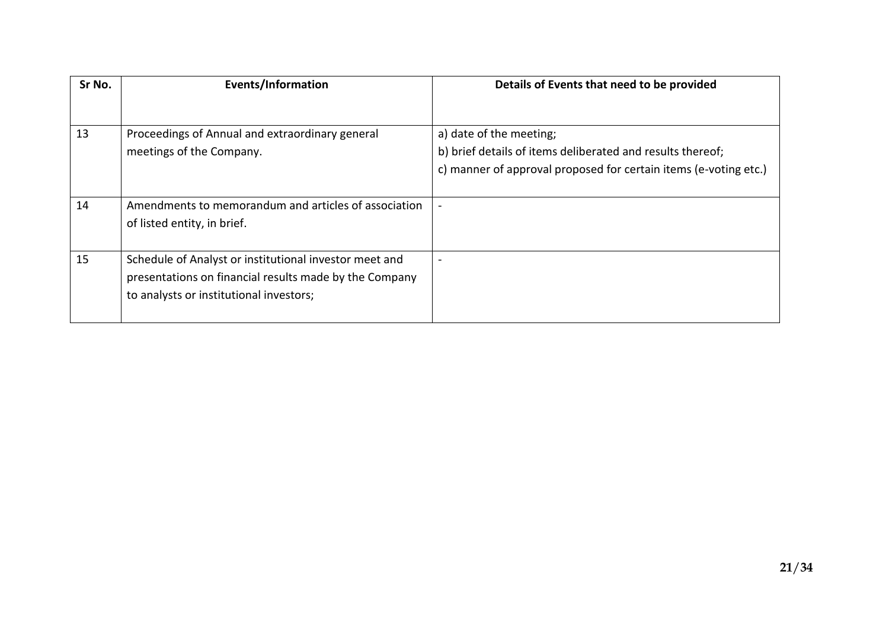| Sr No. | Events/Information                                     | Details of Events that need to be provided                       |
|--------|--------------------------------------------------------|------------------------------------------------------------------|
|        |                                                        |                                                                  |
| 13     | Proceedings of Annual and extraordinary general        | a) date of the meeting;                                          |
|        | meetings of the Company.                               | b) brief details of items deliberated and results thereof;       |
|        |                                                        | c) manner of approval proposed for certain items (e-voting etc.) |
|        |                                                        |                                                                  |
| 14     | Amendments to memorandum and articles of association   |                                                                  |
|        | of listed entity, in brief.                            |                                                                  |
|        |                                                        |                                                                  |
| 15     | Schedule of Analyst or institutional investor meet and |                                                                  |
|        | presentations on financial results made by the Company |                                                                  |
|        | to analysts or institutional investors;                |                                                                  |
|        |                                                        |                                                                  |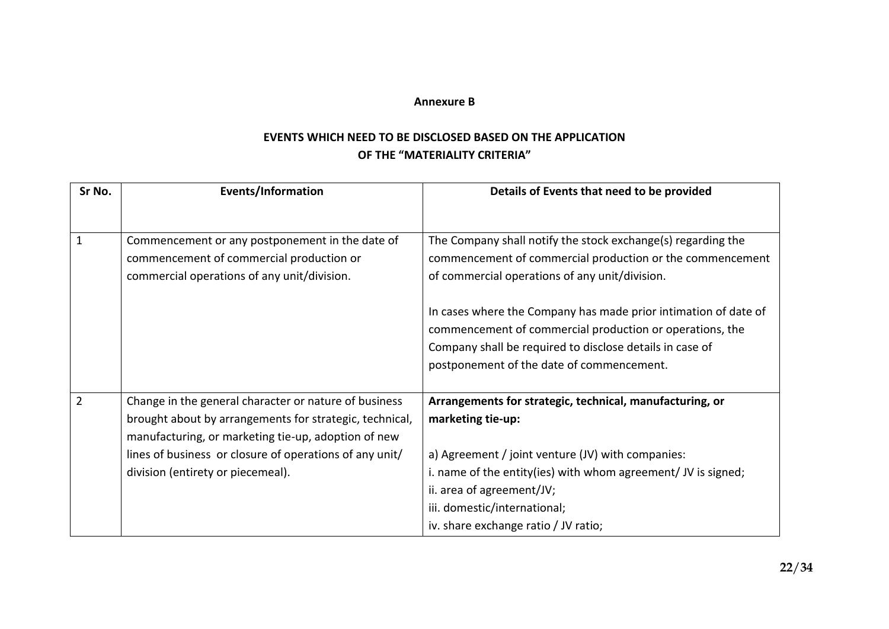#### **Annexure B**

# **EVENTS WHICH NEED TO BE DISCLOSED BASED ON THE APPLICATION OF THE "MATERIALITY CRITERIA"**

| Sr No.         | <b>Events/Information</b>                                                                                                                                               | Details of Events that need to be provided                                                                                                                                                                                           |
|----------------|-------------------------------------------------------------------------------------------------------------------------------------------------------------------------|--------------------------------------------------------------------------------------------------------------------------------------------------------------------------------------------------------------------------------------|
| $\mathbf{1}$   | Commencement or any postponement in the date of<br>commencement of commercial production or                                                                             | The Company shall notify the stock exchange(s) regarding the<br>commencement of commercial production or the commencement                                                                                                            |
|                | commercial operations of any unit/division.                                                                                                                             | of commercial operations of any unit/division.                                                                                                                                                                                       |
|                |                                                                                                                                                                         | In cases where the Company has made prior intimation of date of<br>commencement of commercial production or operations, the<br>Company shall be required to disclose details in case of<br>postponement of the date of commencement. |
| $\overline{2}$ | Change in the general character or nature of business<br>brought about by arrangements for strategic, technical,<br>manufacturing, or marketing tie-up, adoption of new | Arrangements for strategic, technical, manufacturing, or<br>marketing tie-up:                                                                                                                                                        |
|                | lines of business or closure of operations of any unit/                                                                                                                 | a) Agreement / joint venture (JV) with companies:                                                                                                                                                                                    |
|                | division (entirety or piecemeal).                                                                                                                                       | i. name of the entity(ies) with whom agreement/ JV is signed;                                                                                                                                                                        |
|                |                                                                                                                                                                         | ii. area of agreement/JV;                                                                                                                                                                                                            |
|                |                                                                                                                                                                         | iii. domestic/international;                                                                                                                                                                                                         |
|                |                                                                                                                                                                         | iv. share exchange ratio / JV ratio;                                                                                                                                                                                                 |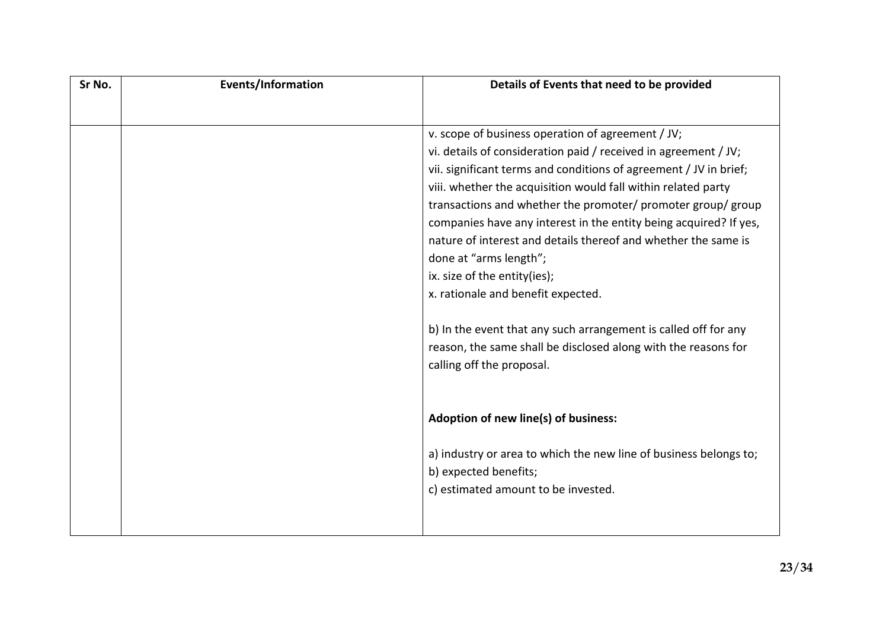| Sr No. | <b>Events/Information</b> | Details of Events that need to be provided                        |
|--------|---------------------------|-------------------------------------------------------------------|
|        |                           |                                                                   |
|        |                           | v. scope of business operation of agreement / JV;                 |
|        |                           | vi. details of consideration paid / received in agreement / JV;   |
|        |                           | vii. significant terms and conditions of agreement / JV in brief; |
|        |                           | viii. whether the acquisition would fall within related party     |
|        |                           | transactions and whether the promoter/ promoter group/ group      |
|        |                           | companies have any interest in the entity being acquired? If yes, |
|        |                           | nature of interest and details thereof and whether the same is    |
|        |                           | done at "arms length";                                            |
|        |                           | ix. size of the entity(ies);                                      |
|        |                           | x. rationale and benefit expected.                                |
|        |                           | b) In the event that any such arrangement is called off for any   |
|        |                           | reason, the same shall be disclosed along with the reasons for    |
|        |                           | calling off the proposal.                                         |
|        |                           |                                                                   |
|        |                           | Adoption of new line(s) of business:                              |
|        |                           | a) industry or area to which the new line of business belongs to; |
|        |                           | b) expected benefits;                                             |
|        |                           | c) estimated amount to be invested.                               |
|        |                           |                                                                   |
|        |                           |                                                                   |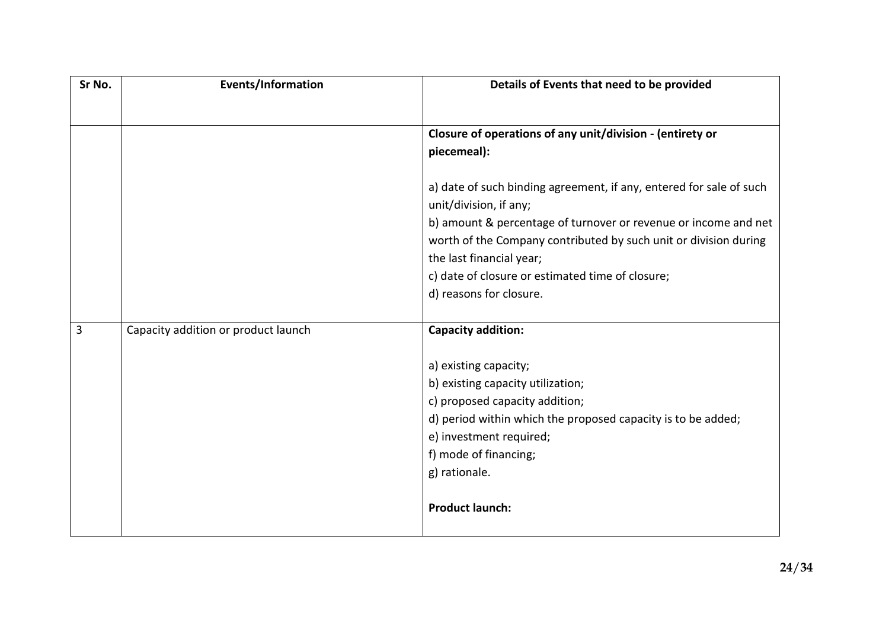| Sr No. | <b>Events/Information</b>           | Details of Events that need to be provided                                                                                                                                                                                                                                                                                                      |
|--------|-------------------------------------|-------------------------------------------------------------------------------------------------------------------------------------------------------------------------------------------------------------------------------------------------------------------------------------------------------------------------------------------------|
|        |                                     | Closure of operations of any unit/division - (entirety or<br>piecemeal):                                                                                                                                                                                                                                                                        |
|        |                                     | a) date of such binding agreement, if any, entered for sale of such<br>unit/division, if any;<br>b) amount & percentage of turnover or revenue or income and net<br>worth of the Company contributed by such unit or division during<br>the last financial year;<br>c) date of closure or estimated time of closure;<br>d) reasons for closure. |
| 3      | Capacity addition or product launch | <b>Capacity addition:</b>                                                                                                                                                                                                                                                                                                                       |
|        |                                     | a) existing capacity;<br>b) existing capacity utilization;<br>c) proposed capacity addition;<br>d) period within which the proposed capacity is to be added;<br>e) investment required;<br>f) mode of financing;<br>g) rationale.<br><b>Product launch:</b>                                                                                     |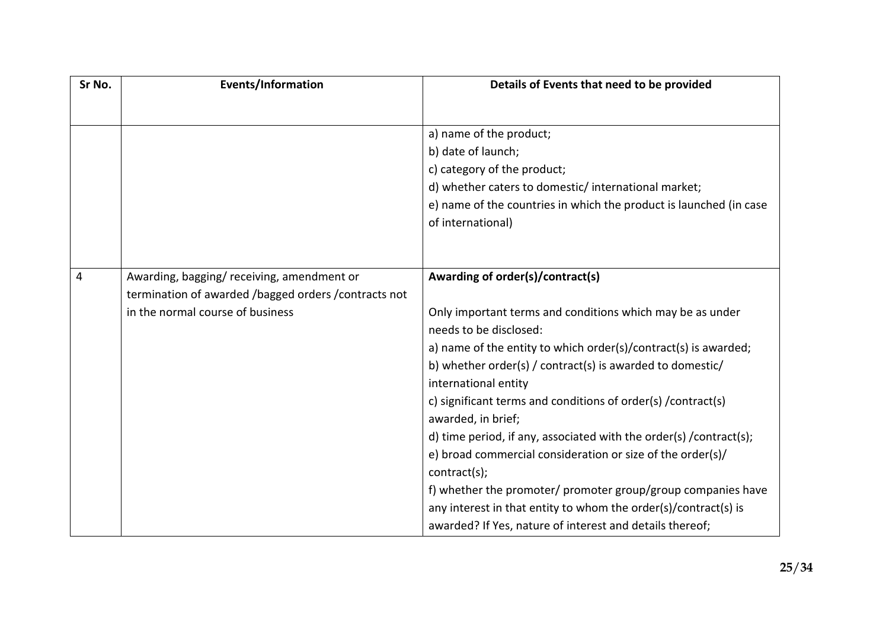| Sr No. | <b>Events/Information</b>                                                                | Details of Events that need to be provided                          |
|--------|------------------------------------------------------------------------------------------|---------------------------------------------------------------------|
|        |                                                                                          |                                                                     |
|        |                                                                                          | a) name of the product;                                             |
|        |                                                                                          | b) date of launch;                                                  |
|        |                                                                                          | c) category of the product;                                         |
|        |                                                                                          | d) whether caters to domestic/international market;                 |
|        |                                                                                          | e) name of the countries in which the product is launched (in case  |
|        |                                                                                          | of international)                                                   |
|        |                                                                                          |                                                                     |
|        |                                                                                          |                                                                     |
| 4      | Awarding, bagging/receiving, amendment or                                                | Awarding of order(s)/contract(s)                                    |
|        | termination of awarded /bagged orders /contracts not<br>in the normal course of business | Only important terms and conditions which may be as under           |
|        |                                                                                          | needs to be disclosed:                                              |
|        |                                                                                          | a) name of the entity to which order(s)/contract(s) is awarded;     |
|        |                                                                                          | b) whether order(s) / contract(s) is awarded to domestic/           |
|        |                                                                                          | international entity                                                |
|        |                                                                                          | c) significant terms and conditions of order(s) / contract(s)       |
|        |                                                                                          | awarded, in brief;                                                  |
|        |                                                                                          | d) time period, if any, associated with the order(s) / contract(s); |
|        |                                                                                          | e) broad commercial consideration or size of the order(s)/          |
|        |                                                                                          | contract(s);                                                        |
|        |                                                                                          | f) whether the promoter/ promoter group/group companies have        |
|        |                                                                                          | any interest in that entity to whom the order(s)/contract(s) is     |
|        |                                                                                          | awarded? If Yes, nature of interest and details thereof;            |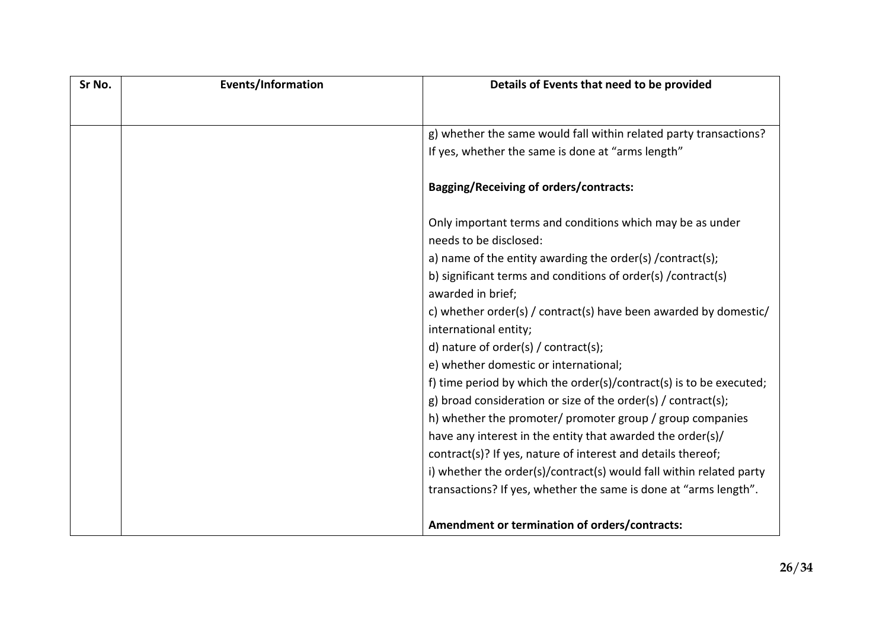| Sr No. | Events/Information | Details of Events that need to be provided                                                |
|--------|--------------------|-------------------------------------------------------------------------------------------|
|        |                    |                                                                                           |
|        |                    | g) whether the same would fall within related party transactions?                         |
|        |                    | If yes, whether the same is done at "arms length"                                         |
|        |                    | <b>Bagging/Receiving of orders/contracts:</b>                                             |
|        |                    | Only important terms and conditions which may be as under<br>needs to be disclosed:       |
|        |                    | a) name of the entity awarding the order(s) /contract(s);                                 |
|        |                    | b) significant terms and conditions of order(s) /contract(s)<br>awarded in brief;         |
|        |                    | c) whether order(s) / contract(s) have been awarded by domestic/<br>international entity; |
|        |                    | d) nature of order(s) / contract(s);                                                      |
|        |                    | e) whether domestic or international;                                                     |
|        |                    | f) time period by which the order(s)/contract(s) is to be executed;                       |
|        |                    | g) broad consideration or size of the order(s) / contract(s);                             |
|        |                    | h) whether the promoter/ promoter group / group companies                                 |
|        |                    | have any interest in the entity that awarded the order(s)/                                |
|        |                    | contract(s)? If yes, nature of interest and details thereof;                              |
|        |                    | i) whether the order(s)/contract(s) would fall within related party                       |
|        |                    | transactions? If yes, whether the same is done at "arms length".                          |
|        |                    |                                                                                           |
|        |                    | Amendment or termination of orders/contracts:                                             |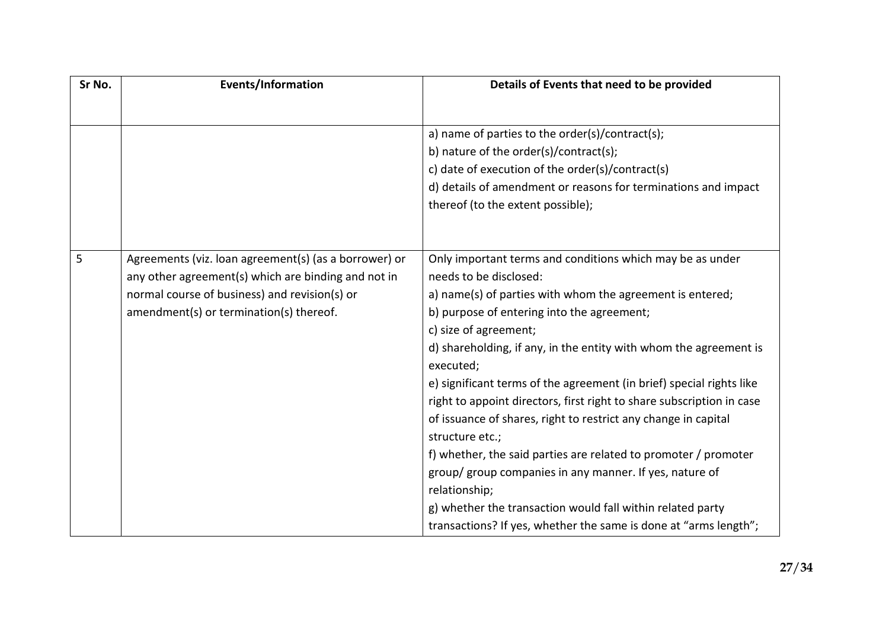| Sr No. | <b>Events/Information</b>                             | Details of Events that need to be provided                                     |
|--------|-------------------------------------------------------|--------------------------------------------------------------------------------|
|        |                                                       |                                                                                |
|        |                                                       | a) name of parties to the order(s)/contract(s);                                |
|        |                                                       | b) nature of the order(s)/contract(s);                                         |
|        |                                                       | c) date of execution of the order(s)/contract(s)                               |
|        |                                                       | d) details of amendment or reasons for terminations and impact                 |
|        |                                                       | thereof (to the extent possible);                                              |
|        |                                                       |                                                                                |
| 5      | Agreements (viz. loan agreement(s) (as a borrower) or | Only important terms and conditions which may be as under                      |
|        |                                                       | needs to be disclosed:                                                         |
|        | any other agreement(s) which are binding and not in   |                                                                                |
|        | normal course of business) and revision(s) or         | a) name(s) of parties with whom the agreement is entered;                      |
|        | amendment(s) or termination(s) thereof.               | b) purpose of entering into the agreement;                                     |
|        |                                                       | c) size of agreement;                                                          |
|        |                                                       | d) shareholding, if any, in the entity with whom the agreement is<br>executed; |
|        |                                                       | e) significant terms of the agreement (in brief) special rights like           |
|        |                                                       | right to appoint directors, first right to share subscription in case          |
|        |                                                       | of issuance of shares, right to restrict any change in capital                 |
|        |                                                       | structure etc.;                                                                |
|        |                                                       | f) whether, the said parties are related to promoter / promoter                |
|        |                                                       | group/ group companies in any manner. If yes, nature of                        |
|        |                                                       | relationship;                                                                  |
|        |                                                       | g) whether the transaction would fall within related party                     |
|        |                                                       | transactions? If yes, whether the same is done at "arms length";               |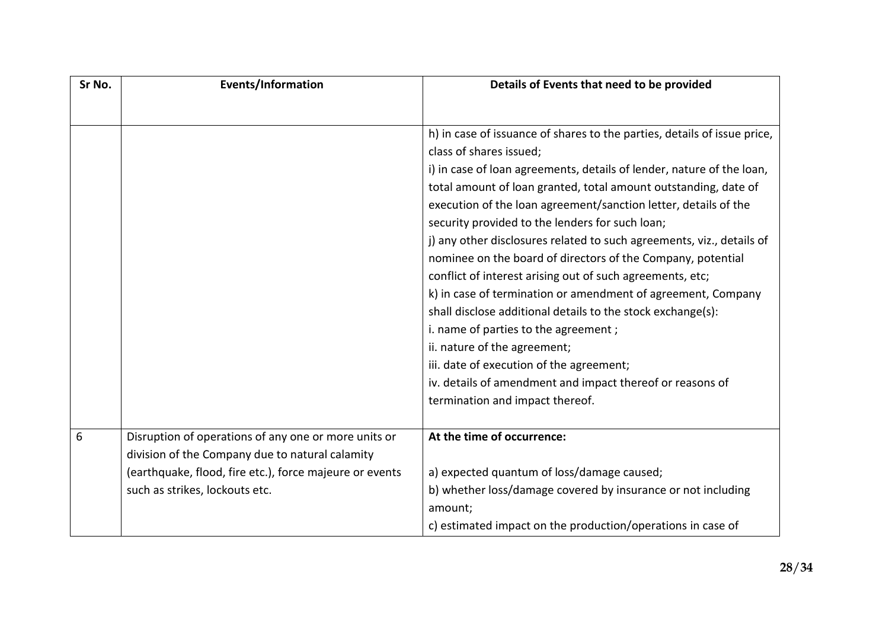| Sr No. | <b>Events/Information</b>                               | Details of Events that need to be provided                               |
|--------|---------------------------------------------------------|--------------------------------------------------------------------------|
|        |                                                         |                                                                          |
|        |                                                         | h) in case of issuance of shares to the parties, details of issue price, |
|        |                                                         | class of shares issued;                                                  |
|        |                                                         | i) in case of loan agreements, details of lender, nature of the loan,    |
|        |                                                         | total amount of loan granted, total amount outstanding, date of          |
|        |                                                         | execution of the loan agreement/sanction letter, details of the          |
|        |                                                         | security provided to the lenders for such loan;                          |
|        |                                                         | j) any other disclosures related to such agreements, viz., details of    |
|        |                                                         | nominee on the board of directors of the Company, potential              |
|        |                                                         | conflict of interest arising out of such agreements, etc;                |
|        |                                                         | k) in case of termination or amendment of agreement, Company             |
|        |                                                         | shall disclose additional details to the stock exchange(s):              |
|        |                                                         | i. name of parties to the agreement;                                     |
|        |                                                         | ii. nature of the agreement;                                             |
|        |                                                         | iii. date of execution of the agreement;                                 |
|        |                                                         | iv. details of amendment and impact thereof or reasons of                |
|        |                                                         | termination and impact thereof.                                          |
| 6      | Disruption of operations of any one or more units or    | At the time of occurrence:                                               |
|        | division of the Company due to natural calamity         |                                                                          |
|        | (earthquake, flood, fire etc.), force majeure or events | a) expected quantum of loss/damage caused;                               |
|        | such as strikes, lockouts etc.                          | b) whether loss/damage covered by insurance or not including             |
|        |                                                         | amount;                                                                  |
|        |                                                         | c) estimated impact on the production/operations in case of              |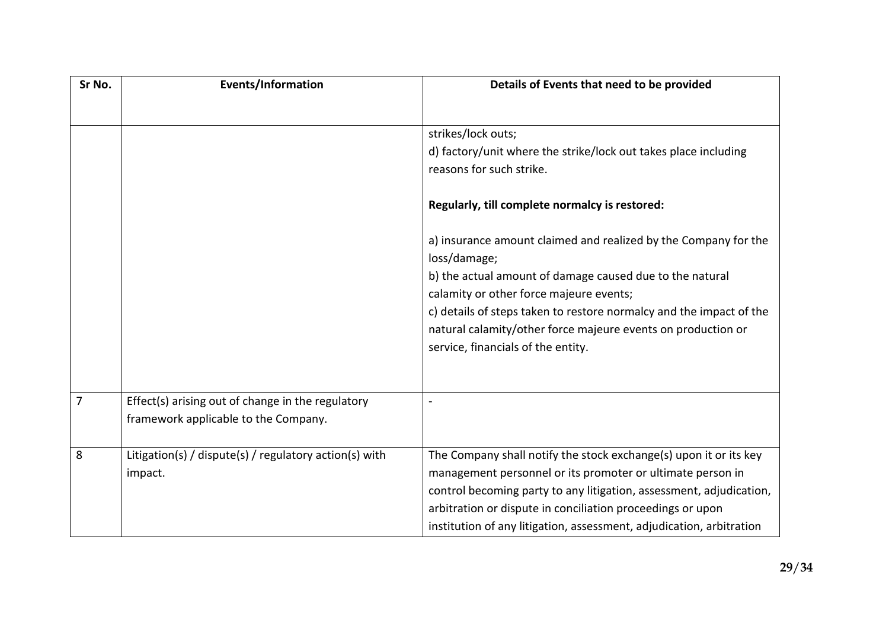| Sr No. | <b>Events/Information</b>                              | Details of Events that need to be provided                           |
|--------|--------------------------------------------------------|----------------------------------------------------------------------|
|        |                                                        |                                                                      |
|        |                                                        | strikes/lock outs;                                                   |
|        |                                                        | d) factory/unit where the strike/lock out takes place including      |
|        |                                                        | reasons for such strike.                                             |
|        |                                                        | Regularly, till complete normalcy is restored:                       |
|        |                                                        | a) insurance amount claimed and realized by the Company for the      |
|        |                                                        | loss/damage;                                                         |
|        |                                                        | b) the actual amount of damage caused due to the natural             |
|        |                                                        | calamity or other force majeure events;                              |
|        |                                                        | c) details of steps taken to restore normalcy and the impact of the  |
|        |                                                        | natural calamity/other force majeure events on production or         |
|        |                                                        | service, financials of the entity.                                   |
|        |                                                        |                                                                      |
| 7      | Effect(s) arising out of change in the regulatory      |                                                                      |
|        | framework applicable to the Company.                   |                                                                      |
| 8      | Litigation(s) / dispute(s) / regulatory action(s) with | The Company shall notify the stock exchange(s) upon it or its key    |
|        | impact.                                                | management personnel or its promoter or ultimate person in           |
|        |                                                        | control becoming party to any litigation, assessment, adjudication,  |
|        |                                                        | arbitration or dispute in conciliation proceedings or upon           |
|        |                                                        | institution of any litigation, assessment, adjudication, arbitration |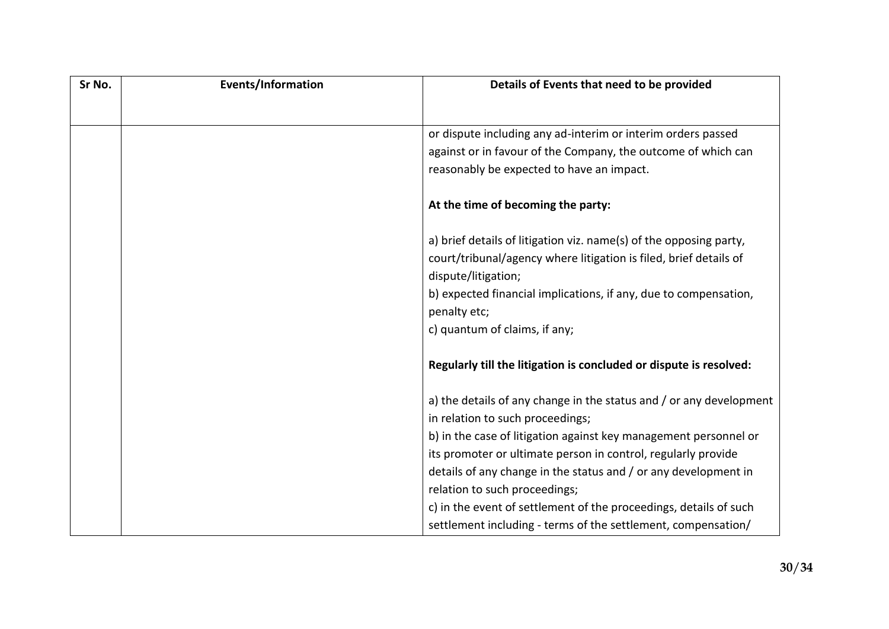| Sr No. | <b>Events/Information</b> | Details of Events that need to be provided                          |
|--------|---------------------------|---------------------------------------------------------------------|
|        |                           |                                                                     |
|        |                           | or dispute including any ad-interim or interim orders passed        |
|        |                           | against or in favour of the Company, the outcome of which can       |
|        |                           | reasonably be expected to have an impact.                           |
|        |                           | At the time of becoming the party:                                  |
|        |                           | a) brief details of litigation viz. name(s) of the opposing party,  |
|        |                           | court/tribunal/agency where litigation is filed, brief details of   |
|        |                           | dispute/litigation;                                                 |
|        |                           | b) expected financial implications, if any, due to compensation,    |
|        |                           | penalty etc;                                                        |
|        |                           | c) quantum of claims, if any;                                       |
|        |                           | Regularly till the litigation is concluded or dispute is resolved:  |
|        |                           | a) the details of any change in the status and / or any development |
|        |                           | in relation to such proceedings;                                    |
|        |                           | b) in the case of litigation against key management personnel or    |
|        |                           | its promoter or ultimate person in control, regularly provide       |
|        |                           | details of any change in the status and / or any development in     |
|        |                           | relation to such proceedings;                                       |
|        |                           | c) in the event of settlement of the proceedings, details of such   |
|        |                           | settlement including - terms of the settlement, compensation/       |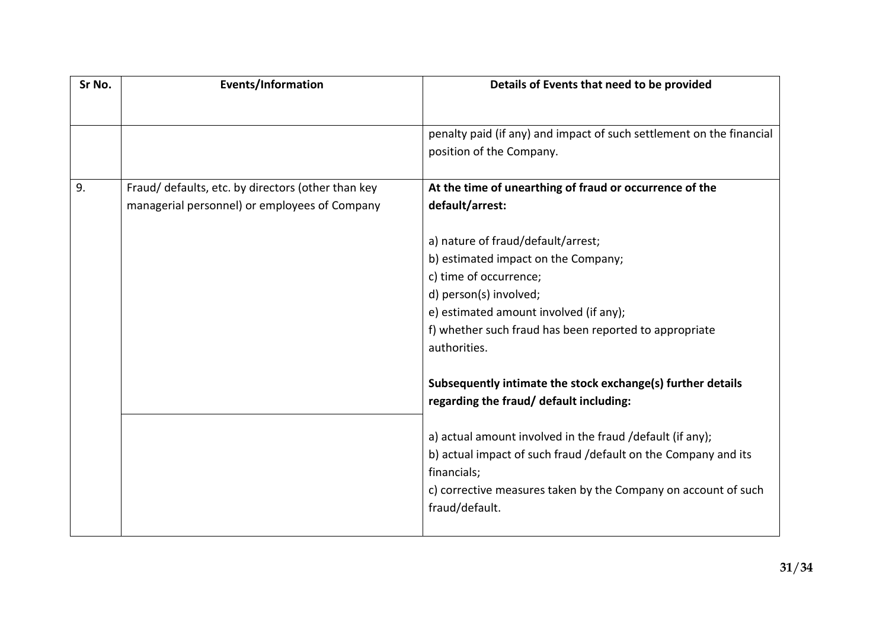| Sr No. | <b>Events/Information</b>                          | Details of Events that need to be provided                                                             |
|--------|----------------------------------------------------|--------------------------------------------------------------------------------------------------------|
|        |                                                    |                                                                                                        |
|        |                                                    | penalty paid (if any) and impact of such settlement on the financial                                   |
|        |                                                    | position of the Company.                                                                               |
| 9.     | Fraud/ defaults, etc. by directors (other than key | At the time of unearthing of fraud or occurrence of the                                                |
|        | managerial personnel) or employees of Company      | default/arrest:                                                                                        |
|        |                                                    |                                                                                                        |
|        |                                                    | a) nature of fraud/default/arrest;                                                                     |
|        |                                                    | b) estimated impact on the Company;                                                                    |
|        |                                                    | c) time of occurrence;                                                                                 |
|        |                                                    | d) person(s) involved;                                                                                 |
|        |                                                    | e) estimated amount involved (if any);                                                                 |
|        |                                                    | f) whether such fraud has been reported to appropriate                                                 |
|        |                                                    | authorities.                                                                                           |
|        |                                                    |                                                                                                        |
|        |                                                    | Subsequently intimate the stock exchange(s) further details<br>regarding the fraud/ default including: |
|        |                                                    |                                                                                                        |
|        |                                                    | a) actual amount involved in the fraud /default (if any);                                              |
|        |                                                    | b) actual impact of such fraud /default on the Company and its                                         |
|        |                                                    | financials;                                                                                            |
|        |                                                    | c) corrective measures taken by the Company on account of such                                         |
|        |                                                    | fraud/default.                                                                                         |
|        |                                                    |                                                                                                        |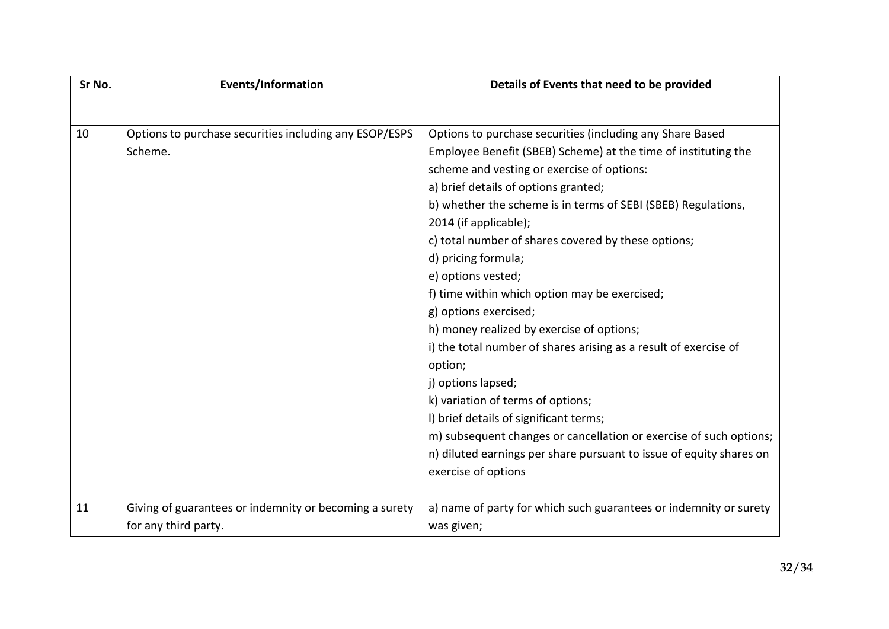| Sr No. | <b>Events/Information</b>                              | Details of Events that need to be provided                          |
|--------|--------------------------------------------------------|---------------------------------------------------------------------|
|        |                                                        |                                                                     |
| 10     | Options to purchase securities including any ESOP/ESPS | Options to purchase securities (including any Share Based           |
|        | Scheme.                                                | Employee Benefit (SBEB) Scheme) at the time of instituting the      |
|        |                                                        | scheme and vesting or exercise of options:                          |
|        |                                                        | a) brief details of options granted;                                |
|        |                                                        | b) whether the scheme is in terms of SEBI (SBEB) Regulations,       |
|        |                                                        | 2014 (if applicable);                                               |
|        |                                                        | c) total number of shares covered by these options;                 |
|        |                                                        | d) pricing formula;                                                 |
|        |                                                        | e) options vested;                                                  |
|        |                                                        | f) time within which option may be exercised;                       |
|        |                                                        | g) options exercised;                                               |
|        |                                                        | h) money realized by exercise of options;                           |
|        |                                                        | i) the total number of shares arising as a result of exercise of    |
|        |                                                        | option;                                                             |
|        |                                                        | j) options lapsed;                                                  |
|        |                                                        | k) variation of terms of options;                                   |
|        |                                                        | I) brief details of significant terms;                              |
|        |                                                        | m) subsequent changes or cancellation or exercise of such options;  |
|        |                                                        | n) diluted earnings per share pursuant to issue of equity shares on |
|        |                                                        | exercise of options                                                 |
|        |                                                        |                                                                     |
| 11     | Giving of guarantees or indemnity or becoming a surety | a) name of party for which such guarantees or indemnity or surety   |
|        | for any third party.                                   | was given;                                                          |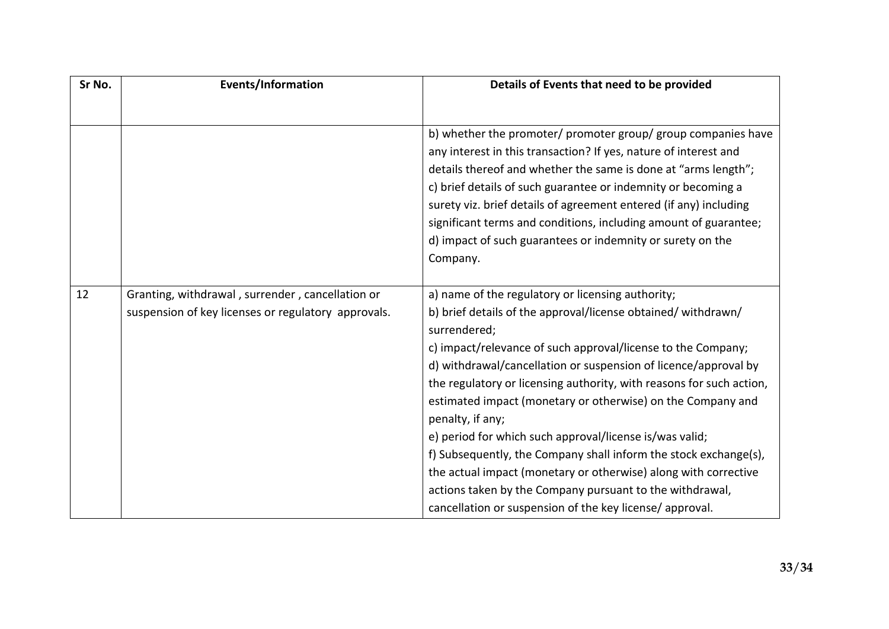| Sr No. | <b>Events/Information</b>                                                                               | Details of Events that need to be provided                                                                                                                                                                                                                                                                                                                                                                                                                                                                                                                                                                                                                                                                                                                |
|--------|---------------------------------------------------------------------------------------------------------|-----------------------------------------------------------------------------------------------------------------------------------------------------------------------------------------------------------------------------------------------------------------------------------------------------------------------------------------------------------------------------------------------------------------------------------------------------------------------------------------------------------------------------------------------------------------------------------------------------------------------------------------------------------------------------------------------------------------------------------------------------------|
|        |                                                                                                         | b) whether the promoter/ promoter group/ group companies have<br>any interest in this transaction? If yes, nature of interest and<br>details thereof and whether the same is done at "arms length";<br>c) brief details of such guarantee or indemnity or becoming a<br>surety viz. brief details of agreement entered (if any) including<br>significant terms and conditions, including amount of guarantee;<br>d) impact of such guarantees or indemnity or surety on the<br>Company.                                                                                                                                                                                                                                                                   |
| 12     | Granting, withdrawal, surrender, cancellation or<br>suspension of key licenses or regulatory approvals. | a) name of the regulatory or licensing authority;<br>b) brief details of the approval/license obtained/ withdrawn/<br>surrendered;<br>c) impact/relevance of such approval/license to the Company;<br>d) withdrawal/cancellation or suspension of licence/approval by<br>the regulatory or licensing authority, with reasons for such action,<br>estimated impact (monetary or otherwise) on the Company and<br>penalty, if any;<br>e) period for which such approval/license is/was valid;<br>f) Subsequently, the Company shall inform the stock exchange(s),<br>the actual impact (monetary or otherwise) along with corrective<br>actions taken by the Company pursuant to the withdrawal,<br>cancellation or suspension of the key license/approval. |